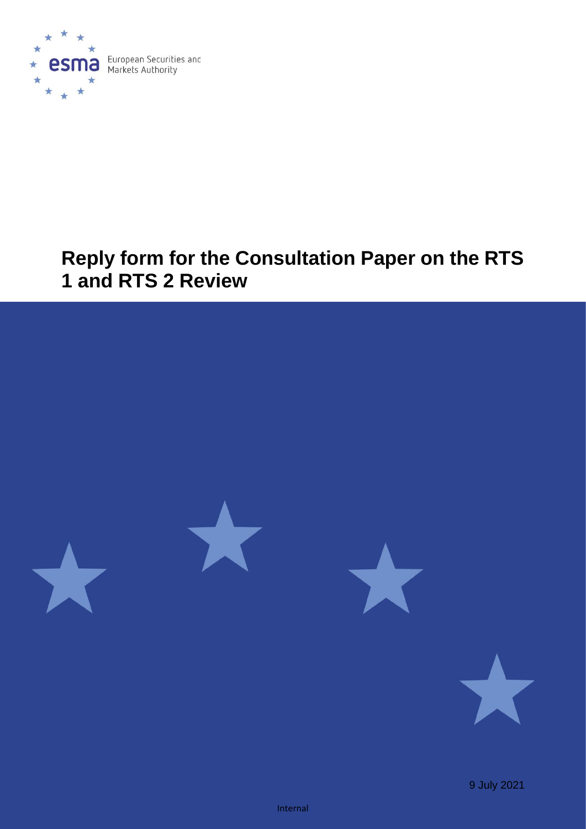

# **Reply form for the Consultation Paper on the RTS 1 and RTS 2 Review**

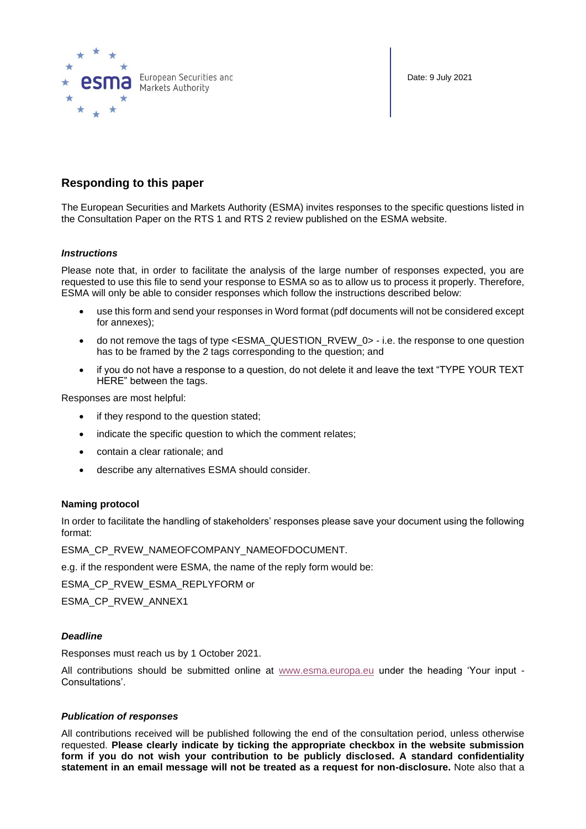

Date: 9 July 2021

# **Responding to this paper**

The European Securities and Markets Authority (ESMA) invites responses to the specific questions listed in the Consultation Paper on the RTS 1 and RTS 2 review published on the ESMA website.

# *Instructions*

Please note that, in order to facilitate the analysis of the large number of responses expected, you are requested to use this file to send your response to ESMA so as to allow us to process it properly. Therefore, ESMA will only be able to consider responses which follow the instructions described below:

- use this form and send your responses in Word format (pdf documents will not be considered except for annexes);
- do not remove the tags of type <ESMA\_QUESTION\_RVEW\_0> i.e. the response to one question has to be framed by the 2 tags corresponding to the question; and
- if you do not have a response to a question, do not delete it and leave the text "TYPE YOUR TEXT HERE" between the tags.

Responses are most helpful:

- if they respond to the question stated:
- indicate the specific question to which the comment relates;
- contain a clear rationale; and
- describe any alternatives ESMA should consider.

## **Naming protocol**

In order to facilitate the handling of stakeholders' responses please save your document using the following format:

ESMA\_CP\_RVEW\_NAMEOFCOMPANY\_NAMEOFDOCUMENT.

e.g. if the respondent were ESMA, the name of the reply form would be:

ESMA\_CP\_RVEW\_ESMA\_REPLYFORM or

ESMA\_CP\_RVEW\_ANNEX1

# *Deadline*

Responses must reach us by 1 October 2021.

All contributions should be submitted online at [www.esma.europa.eu](http://www.esma.europa.eu/) under the heading 'Your input - Consultations'.

## *Publication of responses*

All contributions received will be published following the end of the consultation period, unless otherwise requested. **Please clearly indicate by ticking the appropriate checkbox in the website submission form if you do not wish your contribution to be publicly disclosed. A standard confidentiality statement in an email message will not be treated as a request for non-disclosure.** Note also that a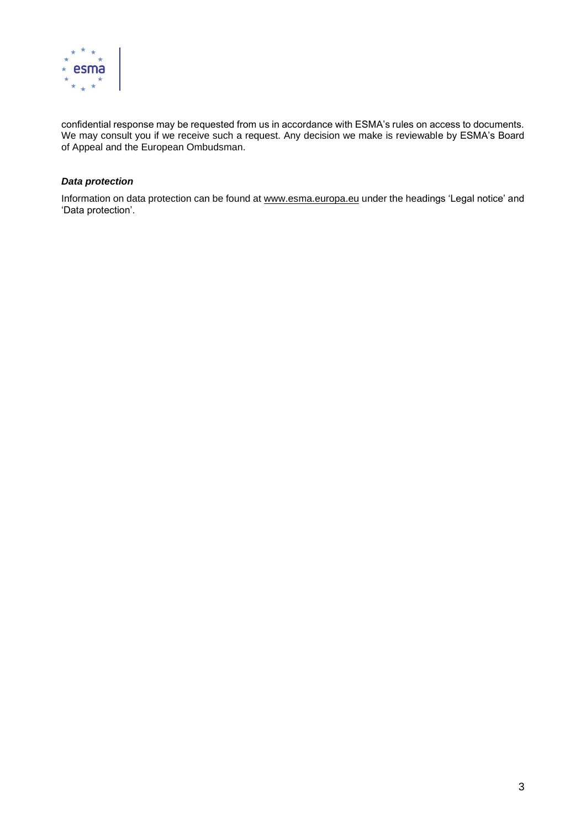

confidential response may be requested from us in accordance with ESMA's rules on access to documents. We may consult you if we receive such a request. Any decision we make is reviewable by ESMA's Board of Appeal and the European Ombudsman.

# *Data protection*

Information on data protection can be found at [www.esma.europa.eu](http://www.esma.europa.eu/) under the headings 'Legal notice' and 'Data protection'.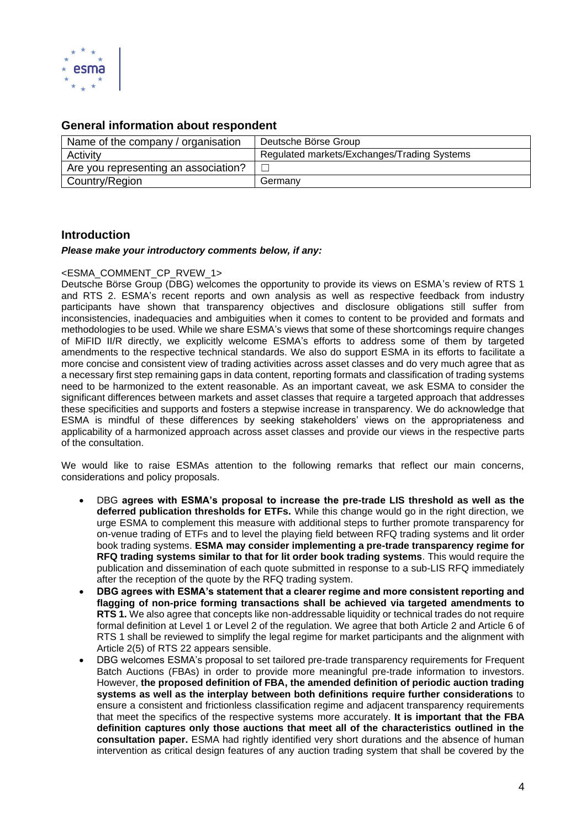

# **General information about respondent**

| Name of the company / organisation   | Deutsche Börse Group                        |
|--------------------------------------|---------------------------------------------|
| Activity                             | Regulated markets/Exchanges/Trading Systems |
| Are you representing an association? |                                             |
| Country/Region                       | Germany                                     |

# **Introduction**

## *Please make your introductory comments below, if any:*

## <ESMA\_COMMENT\_CP\_RVEW\_1>

Deutsche Börse Group (DBG) welcomes the opportunity to provide its views on ESMA's review of RTS 1 and RTS 2. ESMA's recent reports and own analysis as well as respective feedback from industry participants have shown that transparency objectives and disclosure obligations still suffer from inconsistencies, inadequacies and ambiguities when it comes to content to be provided and formats and methodologies to be used. While we share ESMA's views that some of these shortcomings require changes of MiFID II/R directly, we explicitly welcome ESMA's efforts to address some of them by targeted amendments to the respective technical standards. We also do support ESMA in its efforts to facilitate a more concise and consistent view of trading activities across asset classes and do very much agree that as a necessary first step remaining gaps in data content, reporting formats and classification of trading systems need to be harmonized to the extent reasonable. As an important caveat, we ask ESMA to consider the significant differences between markets and asset classes that require a targeted approach that addresses these specificities and supports and fosters a stepwise increase in transparency. We do acknowledge that ESMA is mindful of these differences by seeking stakeholders' views on the appropriateness and applicability of a harmonized approach across asset classes and provide our views in the respective parts of the consultation.

We would like to raise ESMAs attention to the following remarks that reflect our main concerns, considerations and policy proposals.

- DBG **agrees with ESMA's proposal to increase the pre-trade LIS threshold as well as the deferred publication thresholds for ETFs.** While this change would go in the right direction, we urge ESMA to complement this measure with additional steps to further promote transparency for on-venue trading of ETFs and to level the playing field between RFQ trading systems and lit order book trading systems. **ESMA may consider implementing a pre-trade transparency regime for RFQ trading systems similar to that for lit order book trading systems**. This would require the publication and dissemination of each quote submitted in response to a sub-LIS RFQ immediately after the reception of the quote by the RFQ trading system.
- **DBG agrees with ESMA's statement that a clearer regime and more consistent reporting and flagging of non-price forming transactions shall be achieved via targeted amendments to RTS 1.** We also agree that concepts like non-addressable liquidity or technical trades do not require formal definition at Level 1 or Level 2 of the regulation. We agree that both Article 2 and Article 6 of RTS 1 shall be reviewed to simplify the legal regime for market participants and the alignment with Article 2(5) of RTS 22 appears sensible.
- DBG welcomes ESMA's proposal to set tailored pre-trade transparency requirements for Frequent Batch Auctions (FBAs) in order to provide more meaningful pre-trade information to investors. However, **the proposed definition of FBA, the amended definition of periodic auction trading systems as well as the interplay between both definitions require further considerations** to ensure a consistent and frictionless classification regime and adjacent transparency requirements that meet the specifics of the respective systems more accurately. **It is important that the FBA definition captures only those auctions that meet all of the characteristics outlined in the consultation paper.** ESMA had rightly identified very short durations and the absence of human intervention as critical design features of any auction trading system that shall be covered by the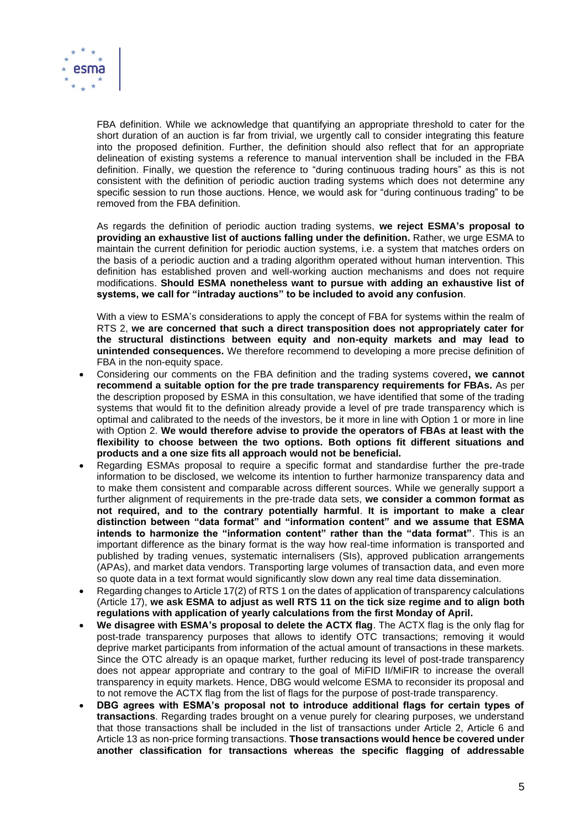

FBA definition. While we acknowledge that quantifying an appropriate threshold to cater for the short duration of an auction is far from trivial, we urgently call to consider integrating this feature into the proposed definition. Further, the definition should also reflect that for an appropriate delineation of existing systems a reference to manual intervention shall be included in the FBA definition. Finally, we question the reference to "during continuous trading hours" as this is not consistent with the definition of periodic auction trading systems which does not determine any specific session to run those auctions. Hence, we would ask for "during continuous trading" to be removed from the FBA definition.

As regards the definition of periodic auction trading systems, **we reject ESMA's proposal to providing an exhaustive list of auctions falling under the definition.** Rather, we urge ESMA to maintain the current definition for periodic auction systems, i.e. a system that matches orders on the basis of a periodic auction and a trading algorithm operated without human intervention. This definition has established proven and well-working auction mechanisms and does not require modifications. **Should ESMA nonetheless want to pursue with adding an exhaustive list of systems, we call for "intraday auctions" to be included to avoid any confusion**.

With a view to ESMA's considerations to apply the concept of FBA for systems within the realm of RTS 2, **we are concerned that such a direct transposition does not appropriately cater for the structural distinctions between equity and non-equity markets and may lead to unintended consequences.** We therefore recommend to developing a more precise definition of FBA in the non-equity space.

- Considering our comments on the FBA definition and the trading systems covered**, we cannot recommend a suitable option for the pre trade transparency requirements for FBAs.** As per the description proposed by ESMA in this consultation, we have identified that some of the trading systems that would fit to the definition already provide a level of pre trade transparency which is optimal and calibrated to the needs of the investors, be it more in line with Option 1 or more in line with Option 2. **We would therefore advise to provide the operators of FBAs at least with the flexibility to choose between the two options. Both options fit different situations and products and a one size fits all approach would not be beneficial.**
- Regarding ESMAs proposal to require a specific format and standardise further the pre-trade information to be disclosed, we welcome its intention to further harmonize transparency data and to make them consistent and comparable across different sources. While we generally support a further alignment of requirements in the pre-trade data sets, **we consider a common format as not required, and to the contrary potentially harmful**. **It is important to make a clear distinction between "data format" and "information content" and we assume that ESMA intends to harmonize the "information content" rather than the "data format"**. This is an important difference as the binary format is the way how real-time information is transported and published by trading venues, systematic internalisers (SIs), approved publication arrangements (APAs), and market data vendors. Transporting large volumes of transaction data, and even more so quote data in a text format would significantly slow down any real time data dissemination.
- Regarding changes to Article 17(2) of RTS 1 on the dates of application of transparency calculations (Article 17), **we ask ESMA to adjust as well RTS 11 on the tick size regime and to align both regulations with application of yearly calculations from the first Monday of April.**
- **We disagree with ESMA's proposal to delete the ACTX flag**. The ACTX flag is the only flag for post-trade transparency purposes that allows to identify OTC transactions; removing it would deprive market participants from information of the actual amount of transactions in these markets. Since the OTC already is an opaque market, further reducing its level of post-trade transparency does not appear appropriate and contrary to the goal of MiFID II/MiFIR to increase the overall transparency in equity markets. Hence, DBG would welcome ESMA to reconsider its proposal and to not remove the ACTX flag from the list of flags for the purpose of post-trade transparency.
- **DBG agrees with ESMA's proposal not to introduce additional flags for certain types of transactions**. Regarding trades brought on a venue purely for clearing purposes, we understand that those transactions shall be included in the list of transactions under Article 2, Article 6 and Article 13 as non-price forming transactions. **Those transactions would hence be covered under another classification for transactions whereas the specific flagging of addressable**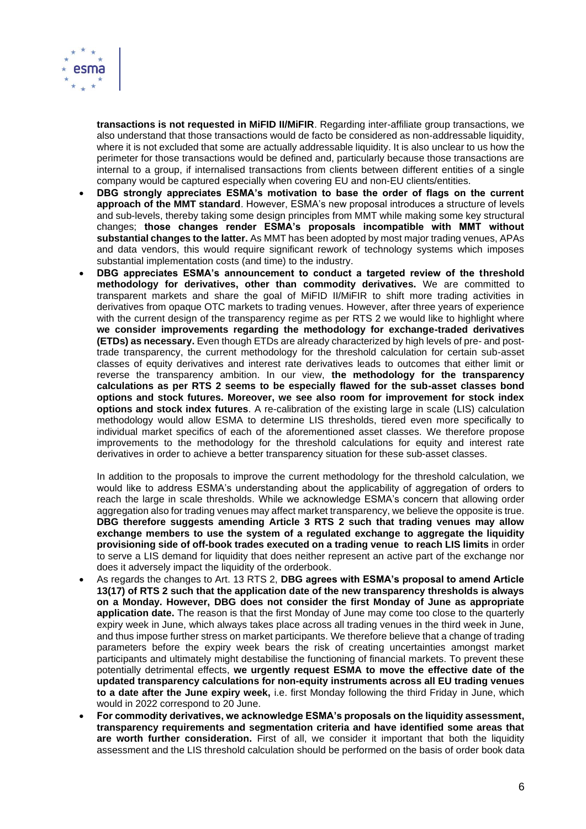

**transactions is not requested in MiFID II/MiFIR**. Regarding inter-affiliate group transactions, we also understand that those transactions would de facto be considered as non-addressable liquidity, where it is not excluded that some are actually addressable liquidity. It is also unclear to us how the perimeter for those transactions would be defined and, particularly because those transactions are internal to a group, if internalised transactions from clients between different entities of a single company would be captured especially when covering EU and non-EU clients/entities.

- **DBG strongly appreciates ESMA's motivation to base the order of flags on the current approach of the MMT standard**. However, ESMA's new proposal introduces a structure of levels and sub-levels, thereby taking some design principles from MMT while making some key structural changes; **those changes render ESMA's proposals incompatible with MMT without substantial changes to the latter.** As MMT has been adopted by most major trading venues, APAs and data vendors, this would require significant rework of technology systems which imposes substantial implementation costs (and time) to the industry.
- **DBG appreciates ESMA's announcement to conduct a targeted review of the threshold methodology for derivatives, other than commodity derivatives.** We are committed to transparent markets and share the goal of MiFID II/MiFIR to shift more trading activities in derivatives from opaque OTC markets to trading venues. However, after three years of experience with the current design of the transparency regime as per RTS 2 we would like to highlight where **we consider improvements regarding the methodology for exchange-traded derivatives (ETDs) as necessary.** Even though ETDs are already characterized by high levels of pre- and posttrade transparency, the current methodology for the threshold calculation for certain sub-asset classes of equity derivatives and interest rate derivatives leads to outcomes that either limit or reverse the transparency ambition. In our view, **the methodology for the transparency calculations as per RTS 2 seems to be especially flawed for the sub-asset classes bond options and stock futures. Moreover, we see also room for improvement for stock index options and stock index futures**. A re-calibration of the existing large in scale (LIS) calculation methodology would allow ESMA to determine LIS thresholds, tiered even more specifically to individual market specifics of each of the aforementioned asset classes. We therefore propose improvements to the methodology for the threshold calculations for equity and interest rate derivatives in order to achieve a better transparency situation for these sub-asset classes.

In addition to the proposals to improve the current methodology for the threshold calculation, we would like to address ESMA's understanding about the applicability of aggregation of orders to reach the large in scale thresholds. While we acknowledge ESMA's concern that allowing order aggregation also for trading venues may affect market transparency, we believe the opposite is true. **DBG therefore suggests amending Article 3 RTS 2 such that trading venues may allow exchange members to use the system of a regulated exchange to aggregate the liquidity provisioning side of off-book trades executed on a trading venue to reach LIS limits** in order to serve a LIS demand for liquidity that does neither represent an active part of the exchange nor does it adversely impact the liquidity of the orderbook.

- As regards the changes to Art. 13 RTS 2, **DBG agrees with ESMA's proposal to amend Article 13(17) of RTS 2 such that the application date of the new transparency thresholds is always on a Monday. However, DBG does not consider the first Monday of June as appropriate application date.** The reason is that the first Monday of June may come too close to the quarterly expiry week in June, which always takes place across all trading venues in the third week in June, and thus impose further stress on market participants. We therefore believe that a change of trading parameters before the expiry week bears the risk of creating uncertainties amongst market participants and ultimately might destabilise the functioning of financial markets. To prevent these potentially detrimental effects, **we urgently request ESMA to move the effective date of the updated transparency calculations for non-equity instruments across all EU trading venues to a date after the June expiry week,** i.e. first Monday following the third Friday in June, which would in 2022 correspond to 20 June.
- **For commodity derivatives, we acknowledge ESMA's proposals on the liquidity assessment, transparency requirements and segmentation criteria and have identified some areas that are worth further consideration.** First of all, we consider it important that both the liquidity assessment and the LIS threshold calculation should be performed on the basis of order book data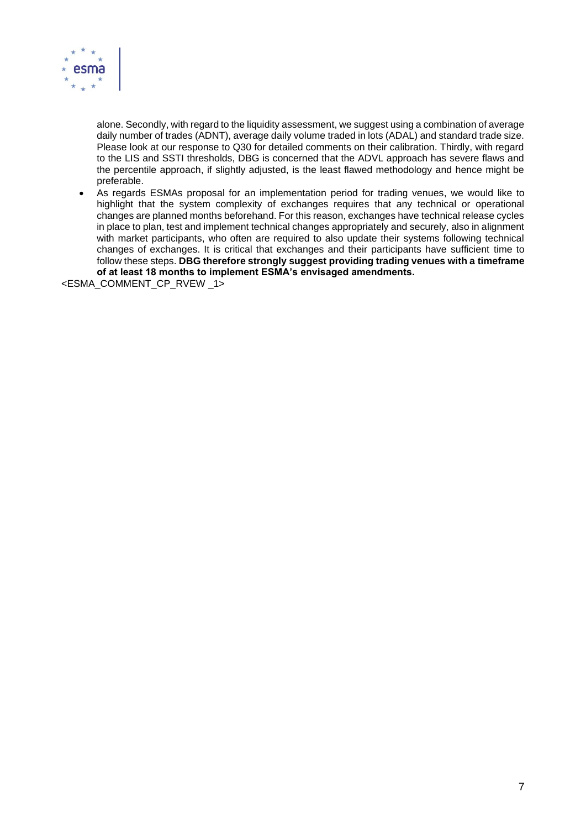

alone. Secondly, with regard to the liquidity assessment, we suggest using a combination of average daily number of trades (ADNT), average daily volume traded in lots (ADAL) and standard trade size. Please look at our response to Q30 for detailed comments on their calibration. Thirdly, with regard to the LIS and SSTI thresholds, DBG is concerned that the ADVL approach has severe flaws and the percentile approach, if slightly adjusted, is the least flawed methodology and hence might be preferable.

• As regards ESMAs proposal for an implementation period for trading venues, we would like to highlight that the system complexity of exchanges requires that any technical or operational changes are planned months beforehand. For this reason, exchanges have technical release cycles in place to plan, test and implement technical changes appropriately and securely, also in alignment with market participants, who often are required to also update their systems following technical changes of exchanges. It is critical that exchanges and their participants have sufficient time to follow these steps. **DBG therefore strongly suggest providing trading venues with a timeframe of at least 18 months to implement ESMA's envisaged amendments.**

<ESMA\_COMMENT\_CP\_RVEW \_1>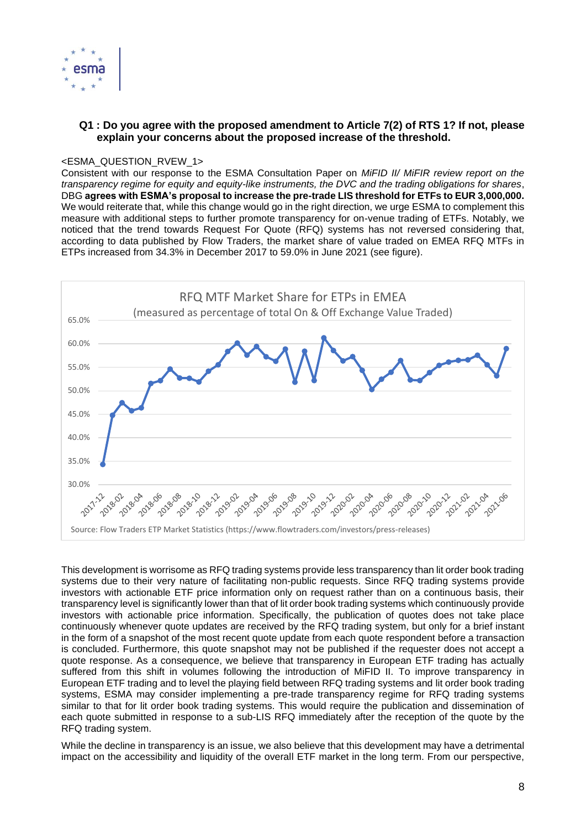

# **Q1 : Do you agree with the proposed amendment to Article 7(2) of RTS 1? If not, please explain your concerns about the proposed increase of the threshold.**

## <ESMA\_QUESTION\_RVEW\_1>

Consistent with our response to the ESMA Consultation Paper on *MiFID II/ MiFIR review report on the transparency regime for equity and equity-like instruments, the DVC and the trading obligations for shares*, DBG **agrees with ESMA's proposal to increase the pre-trade LIS threshold for ETFs to EUR 3,000,000.** We would reiterate that, while this change would go in the right direction, we urge ESMA to complement this measure with additional steps to further promote transparency for on-venue trading of ETFs. Notably, we noticed that the trend towards Request For Quote (RFQ) systems has not reversed considering that, according to data published by Flow Traders, the market share of value traded on EMEA RFQ MTFs in ETPs increased from 34.3% in December 2017 to 59.0% in June 2021 (see figure).



This development is worrisome as RFQ trading systems provide less transparency than lit order book trading systems due to their very nature of facilitating non-public requests. Since RFQ trading systems provide investors with actionable ETF price information only on request rather than on a continuous basis, their transparency level is significantly lower than that of lit order book trading systems which continuously provide investors with actionable price information. Specifically, the publication of quotes does not take place continuously whenever quote updates are received by the RFQ trading system, but only for a brief instant in the form of a snapshot of the most recent quote update from each quote respondent before a transaction is concluded. Furthermore, this quote snapshot may not be published if the requester does not accept a quote response. As a consequence, we believe that transparency in European ETF trading has actually suffered from this shift in volumes following the introduction of MiFID II. To improve transparency in European ETF trading and to level the playing field between RFQ trading systems and lit order book trading systems, ESMA may consider implementing a pre-trade transparency regime for RFQ trading systems similar to that for lit order book trading systems. This would require the publication and dissemination of each quote submitted in response to a sub-LIS RFQ immediately after the reception of the quote by the RFQ trading system.

While the decline in transparency is an issue, we also believe that this development may have a detrimental impact on the accessibility and liquidity of the overall ETF market in the long term. From our perspective,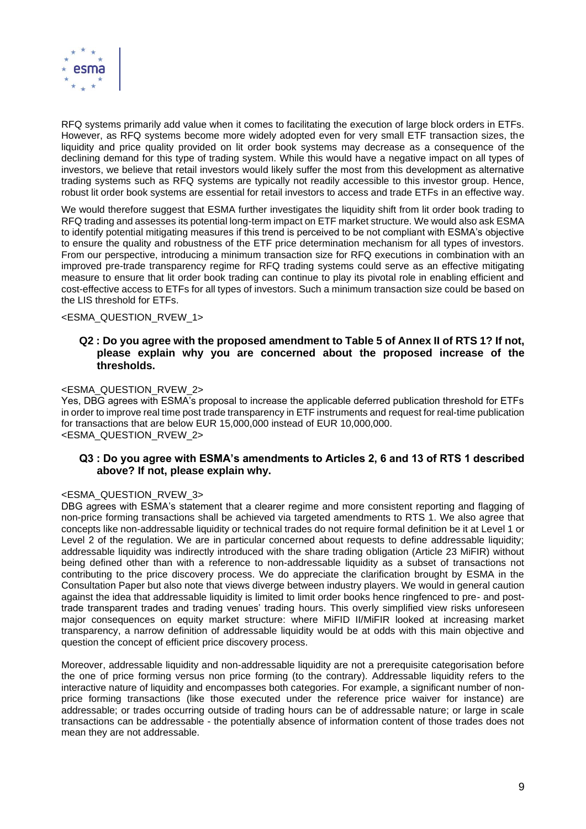

RFQ systems primarily add value when it comes to facilitating the execution of large block orders in ETFs. However, as RFQ systems become more widely adopted even for very small ETF transaction sizes, the liquidity and price quality provided on lit order book systems may decrease as a consequence of the declining demand for this type of trading system. While this would have a negative impact on all types of investors, we believe that retail investors would likely suffer the most from this development as alternative trading systems such as RFQ systems are typically not readily accessible to this investor group. Hence, robust lit order book systems are essential for retail investors to access and trade ETFs in an effective way.

We would therefore suggest that ESMA further investigates the liquidity shift from lit order book trading to RFQ trading and assesses its potential long-term impact on ETF market structure. We would also ask ESMA to identify potential mitigating measures if this trend is perceived to be not compliant with ESMA's objective to ensure the quality and robustness of the ETF price determination mechanism for all types of investors. From our perspective, introducing a minimum transaction size for RFQ executions in combination with an improved pre-trade transparency regime for RFQ trading systems could serve as an effective mitigating measure to ensure that lit order book trading can continue to play its pivotal role in enabling efficient and cost-effective access to ETFs for all types of investors. Such a minimum transaction size could be based on the LIS threshold for ETFs.

## <ESMA\_QUESTION\_RVEW\_1>

# **Q2 : Do you agree with the proposed amendment to Table 5 of Annex II of RTS 1? If not, please explain why you are concerned about the proposed increase of the thresholds.**

## <ESMA\_QUESTION\_RVEW\_2>

Yes, DBG agrees with ESMA's proposal to increase the applicable deferred publication threshold for ETFs in order to improve real time post trade transparency in ETF instruments and request for real-time publication for transactions that are below EUR 15,000,000 instead of EUR 10,000,000. <ESMA\_QUESTION\_RVEW\_2>

# **Q3 : Do you agree with ESMA's amendments to Articles 2, 6 and 13 of RTS 1 described above? If not, please explain why.**

## <ESMA\_QUESTION\_RVEW\_3>

DBG agrees with ESMA's statement that a clearer regime and more consistent reporting and flagging of non-price forming transactions shall be achieved via targeted amendments to RTS 1. We also agree that concepts like non-addressable liquidity or technical trades do not require formal definition be it at Level 1 or Level 2 of the regulation. We are in particular concerned about requests to define addressable liquidity; addressable liquidity was indirectly introduced with the share trading obligation (Article 23 MiFIR) without being defined other than with a reference to non-addressable liquidity as a subset of transactions not contributing to the price discovery process. We do appreciate the clarification brought by ESMA in the Consultation Paper but also note that views diverge between industry players. We would in general caution against the idea that addressable liquidity is limited to limit order books hence ringfenced to pre- and posttrade transparent trades and trading venues' trading hours. This overly simplified view risks unforeseen major consequences on equity market structure: where MiFID II/MiFIR looked at increasing market transparency, a narrow definition of addressable liquidity would be at odds with this main objective and question the concept of efficient price discovery process.

Moreover, addressable liquidity and non-addressable liquidity are not a prerequisite categorisation before the one of price forming versus non price forming (to the contrary). Addressable liquidity refers to the interactive nature of liquidity and encompasses both categories. For example, a significant number of nonprice forming transactions (like those executed under the reference price waiver for instance) are addressable; or trades occurring outside of trading hours can be of addressable nature; or large in scale transactions can be addressable - the potentially absence of information content of those trades does not mean they are not addressable.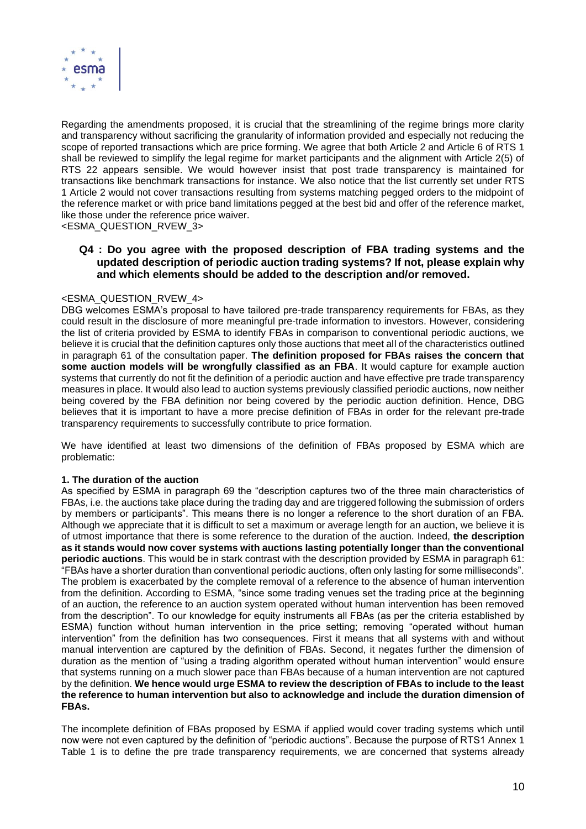

Regarding the amendments proposed, it is crucial that the streamlining of the regime brings more clarity and transparency without sacrificing the granularity of information provided and especially not reducing the scope of reported transactions which are price forming. We agree that both Article 2 and Article 6 of RTS 1 shall be reviewed to simplify the legal regime for market participants and the alignment with Article 2(5) of RTS 22 appears sensible. We would however insist that post trade transparency is maintained for transactions like benchmark transactions for instance. We also notice that the list currently set under RTS 1 Article 2 would not cover transactions resulting from systems matching pegged orders to the midpoint of the reference market or with price band limitations pegged at the best bid and offer of the reference market, like those under the reference price waiver.

<ESMA\_QUESTION\_RVEW\_3>

# **Q4 : Do you agree with the proposed description of FBA trading systems and the updated description of periodic auction trading systems? If not, please explain why and which elements should be added to the description and/or removed.**

## <ESMA\_QUESTION\_RVEW\_4>

DBG welcomes ESMA's proposal to have tailored pre-trade transparency requirements for FBAs, as they could result in the disclosure of more meaningful pre-trade information to investors. However, considering the list of criteria provided by ESMA to identify FBAs in comparison to conventional periodic auctions, we believe it is crucial that the definition captures only those auctions that meet all of the characteristics outlined in paragraph 61 of the consultation paper. **The definition proposed for FBAs raises the concern that some auction models will be wrongfully classified as an FBA**. It would capture for example auction systems that currently do not fit the definition of a periodic auction and have effective pre trade transparency measures in place. It would also lead to auction systems previously classified periodic auctions, now neither being covered by the FBA definition nor being covered by the periodic auction definition. Hence, DBG believes that it is important to have a more precise definition of FBAs in order for the relevant pre-trade transparency requirements to successfully contribute to price formation.

We have identified at least two dimensions of the definition of FBAs proposed by ESMA which are problematic:

# **1. The duration of the auction**

As specified by ESMA in paragraph 69 the "description captures two of the three main characteristics of FBAs, i.e. the auctions take place during the trading day and are triggered following the submission of orders by members or participants". This means there is no longer a reference to the short duration of an FBA. Although we appreciate that it is difficult to set a maximum or average length for an auction, we believe it is of utmost importance that there is some reference to the duration of the auction. Indeed, **the description as it stands would now cover systems with auctions lasting potentially longer than the conventional periodic auctions**. This would be in stark contrast with the description provided by ESMA in paragraph 61: "FBAs have a shorter duration than conventional periodic auctions, often only lasting for some milliseconds". The problem is exacerbated by the complete removal of a reference to the absence of human intervention from the definition. According to ESMA, "since some trading venues set the trading price at the beginning of an auction, the reference to an auction system operated without human intervention has been removed from the description". To our knowledge for equity instruments all FBAs (as per the criteria established by ESMA) function without human intervention in the price setting; removing "operated without human intervention" from the definition has two consequences. First it means that all systems with and without manual intervention are captured by the definition of FBAs. Second, it negates further the dimension of duration as the mention of "using a trading algorithm operated without human intervention" would ensure that systems running on a much slower pace than FBAs because of a human intervention are not captured by the definition. **We hence would urge ESMA to review the description of FBAs to include to the least the reference to human intervention but also to acknowledge and include the duration dimension of FBAs.** 

The incomplete definition of FBAs proposed by ESMA if applied would cover trading systems which until now were not even captured by the definition of "periodic auctions". Because the purpose of RTS1 Annex 1 Table 1 is to define the pre trade transparency requirements, we are concerned that systems already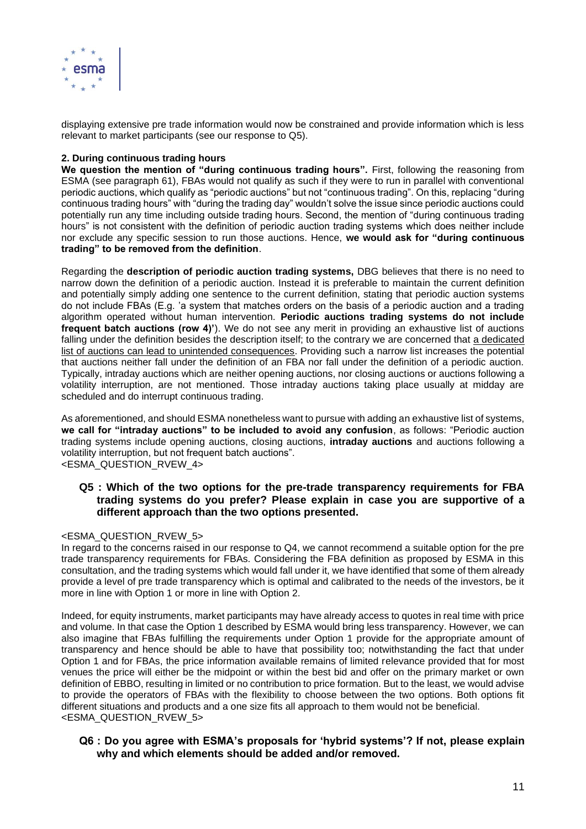

displaying extensive pre trade information would now be constrained and provide information which is less relevant to market participants (see our response to Q5).

# **2. During continuous trading hours**

**We question the mention of "during continuous trading hours".** First, following the reasoning from ESMA (see paragraph 61), FBAs would not qualify as such if they were to run in parallel with conventional periodic auctions, which qualify as "periodic auctions" but not "continuous trading". On this, replacing "during continuous trading hours" with "during the trading day" wouldn't solve the issue since periodic auctions could potentially run any time including outside trading hours. Second, the mention of "during continuous trading hours" is not consistent with the definition of periodic auction trading systems which does neither include nor exclude any specific session to run those auctions. Hence, **we would ask for "during continuous trading" to be removed from the definition**.

Regarding the **description of periodic auction trading systems,** DBG believes that there is no need to narrow down the definition of a periodic auction. Instead it is preferable to maintain the current definition and potentially simply adding one sentence to the current definition, stating that periodic auction systems do not include FBAs (E.g. 'a system that matches orders on the basis of a periodic auction and a trading algorithm operated without human intervention. **Periodic auctions trading systems do not include frequent batch auctions (row 4)'**). We do not see any merit in providing an exhaustive list of auctions falling under the definition besides the description itself; to the contrary we are concerned that a dedicated list of auctions can lead to unintended consequences. Providing such a narrow list increases the potential that auctions neither fall under the definition of an FBA nor fall under the definition of a periodic auction. Typically, intraday auctions which are neither opening auctions, nor closing auctions or auctions following a volatility interruption, are not mentioned. Those intraday auctions taking place usually at midday are scheduled and do interrupt continuous trading.

As aforementioned, and should ESMA nonetheless want to pursue with adding an exhaustive list of systems, **we call for "intraday auctions" to be included to avoid any confusion**, as follows: "Periodic auction trading systems include opening auctions, closing auctions, **intraday auctions** and auctions following a volatility interruption, but not frequent batch auctions". <ESMA\_QUESTION\_RVEW\_4>

# **Q5 : Which of the two options for the pre-trade transparency requirements for FBA trading systems do you prefer? Please explain in case you are supportive of a different approach than the two options presented.**

# <ESMA\_QUESTION\_RVEW\_5>

In regard to the concerns raised in our response to Q4, we cannot recommend a suitable option for the pre trade transparency requirements for FBAs. Considering the FBA definition as proposed by ESMA in this consultation, and the trading systems which would fall under it, we have identified that some of them already provide a level of pre trade transparency which is optimal and calibrated to the needs of the investors, be it more in line with Option 1 or more in line with Option 2.

Indeed, for equity instruments, market participants may have already access to quotes in real time with price and volume. In that case the Option 1 described by ESMA would bring less transparency. However, we can also imagine that FBAs fulfilling the requirements under Option 1 provide for the appropriate amount of transparency and hence should be able to have that possibility too; notwithstanding the fact that under Option 1 and for FBAs, the price information available remains of limited relevance provided that for most venues the price will either be the midpoint or within the best bid and offer on the primary market or own definition of EBBO, resulting in limited or no contribution to price formation. But to the least, we would advise to provide the operators of FBAs with the flexibility to choose between the two options. Both options fit different situations and products and a one size fits all approach to them would not be beneficial. <ESMA\_QUESTION\_RVEW\_5>

# **Q6 : Do you agree with ESMA's proposals for 'hybrid systems'? If not, please explain why and which elements should be added and/or removed.**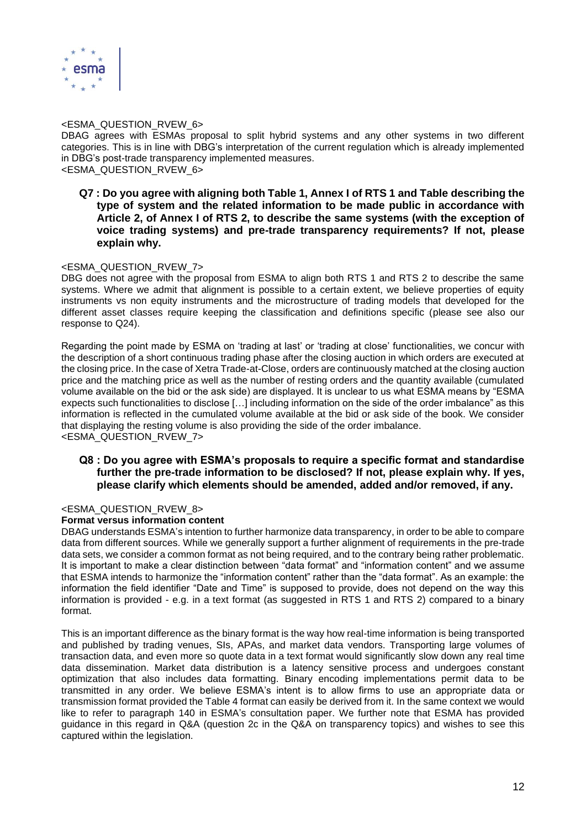

## <ESMA\_QUESTION\_RVEW\_6>

DBAG agrees with ESMAs proposal to split hybrid systems and any other systems in two different categories. This is in line with DBG's interpretation of the current regulation which is already implemented in DBG's post-trade transparency implemented measures. <ESMA\_QUESTION\_RVEW\_6>

# **Q7 : Do you agree with aligning both Table 1, Annex I of RTS 1 and Table describing the type of system and the related information to be made public in accordance with Article 2, of Annex I of RTS 2, to describe the same systems (with the exception of voice trading systems) and pre-trade transparency requirements? If not, please explain why.**

# <ESMA\_QUESTION\_RVEW\_7>

DBG does not agree with the proposal from ESMA to align both RTS 1 and RTS 2 to describe the same systems. Where we admit that alignment is possible to a certain extent, we believe properties of equity instruments vs non equity instruments and the microstructure of trading models that developed for the different asset classes require keeping the classification and definitions specific (please see also our response to Q24).

Regarding the point made by ESMA on 'trading at last' or 'trading at close' functionalities, we concur with the description of a short continuous trading phase after the closing auction in which orders are executed at the closing price. In the case of Xetra Trade-at-Close, orders are continuously matched at the closing auction price and the matching price as well as the number of resting orders and the quantity available (cumulated volume available on the bid or the ask side) are displayed. It is unclear to us what ESMA means by "ESMA expects such functionalities to disclose […] including information on the side of the order imbalance" as this information is reflected in the cumulated volume available at the bid or ask side of the book. We consider that displaying the resting volume is also providing the side of the order imbalance. <ESMA\_QUESTION\_RVEW\_7>

# **Q8 : Do you agree with ESMA's proposals to require a specific format and standardise further the pre-trade information to be disclosed? If not, please explain why. If yes, please clarify which elements should be amended, added and/or removed, if any.**

# <ESMA\_QUESTION\_RVEW\_8>

## **Format versus information content**

DBAG understands ESMA's intention to further harmonize data transparency, in order to be able to compare data from different sources. While we generally support a further alignment of requirements in the pre-trade data sets, we consider a common format as not being required, and to the contrary being rather problematic. It is important to make a clear distinction between "data format" and "information content" and we assume that ESMA intends to harmonize the "information content" rather than the "data format". As an example: the information the field identifier "Date and Time" is supposed to provide, does not depend on the way this information is provided - e.g. in a text format (as suggested in RTS 1 and RTS 2) compared to a binary format.

This is an important difference as the binary format is the way how real-time information is being transported and published by trading venues, SIs, APAs, and market data vendors. Transporting large volumes of transaction data, and even more so quote data in a text format would significantly slow down any real time data dissemination. Market data distribution is a latency sensitive process and undergoes constant optimization that also includes data formatting. Binary encoding implementations permit data to be transmitted in any order. We believe ESMA's intent is to allow firms to use an appropriate data or transmission format provided the Table 4 format can easily be derived from it. In the same context we would like to refer to paragraph 140 in ESMA's consultation paper. We further note that ESMA has provided guidance in this regard in Q&A (question 2c in the Q&A on transparency topics) and wishes to see this captured within the legislation.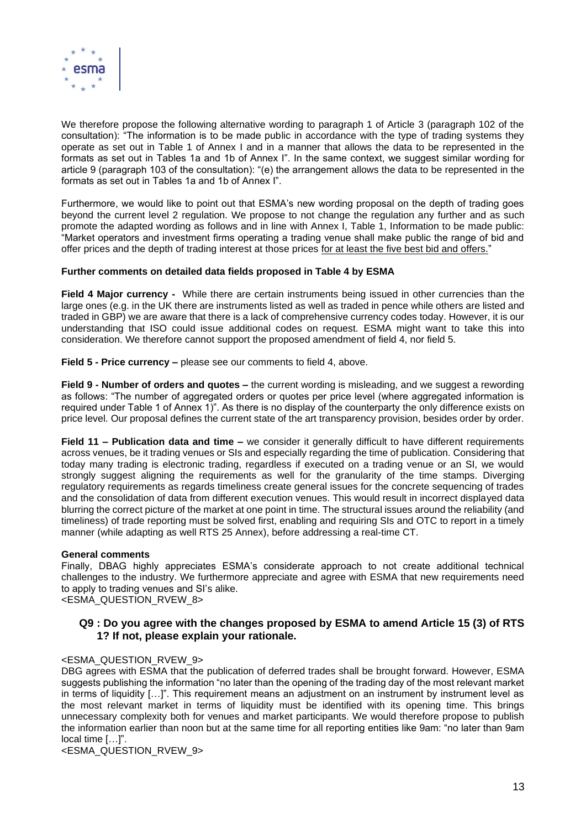

We therefore propose the following alternative wording to paragraph 1 of Article 3 (paragraph 102 of the consultation): "The information is to be made public in accordance with the type of trading systems they operate as set out in Table 1 of Annex I and in a manner that allows the data to be represented in the formats as set out in Tables 1a and 1b of Annex I". In the same context, we suggest similar wording for article 9 (paragraph 103 of the consultation): "(e) the arrangement allows the data to be represented in the formats as set out in Tables 1a and 1b of Annex I".

Furthermore, we would like to point out that ESMA's new wording proposal on the depth of trading goes beyond the current level 2 regulation. We propose to not change the regulation any further and as such promote the adapted wording as follows and in line with Annex I, Table 1, Information to be made public: "Market operators and investment firms operating a trading venue shall make public the range of bid and offer prices and the depth of trading interest at those prices for at least the five best bid and offers."

# **Further comments on detailed data fields proposed in Table 4 by ESMA**

**Field 4 Major currency -** While there are certain instruments being issued in other currencies than the large ones (e.g. in the UK there are instruments listed as well as traded in pence while others are listed and traded in GBP) we are aware that there is a lack of comprehensive currency codes today. However, it is our understanding that ISO could issue additional codes on request. ESMA might want to take this into consideration. We therefore cannot support the proposed amendment of field 4, nor field 5.

**Field 5 - Price currency –** please see our comments to field 4, above.

**Field 9 - Number of orders and quotes –** the current wording is misleading, and we suggest a rewording as follows: "The number of aggregated orders or quotes per price level (where aggregated information is required under Table 1 of Annex 1)". As there is no display of the counterparty the only difference exists on price level. Our proposal defines the current state of the art transparency provision, besides order by order.

**Field 11 – Publication data and time –** we consider it generally difficult to have different requirements across venues, be it trading venues or SIs and especially regarding the time of publication. Considering that today many trading is electronic trading, regardless if executed on a trading venue or an SI, we would strongly suggest aligning the requirements as well for the granularity of the time stamps. Diverging regulatory requirements as regards timeliness create general issues for the concrete sequencing of trades and the consolidation of data from different execution venues. This would result in incorrect displayed data blurring the correct picture of the market at one point in time. The structural issues around the reliability (and timeliness) of trade reporting must be solved first, enabling and requiring SIs and OTC to report in a timely manner (while adapting as well RTS 25 Annex), before addressing a real-time CT.

## **General comments**

Finally, DBAG highly appreciates ESMA's considerate approach to not create additional technical challenges to the industry. We furthermore appreciate and agree with ESMA that new requirements need to apply to trading venues and SI's alike.

<ESMA\_QUESTION\_RVEW\_8>

# **Q9 : Do you agree with the changes proposed by ESMA to amend Article 15 (3) of RTS 1? If not, please explain your rationale.**

# <ESMA\_QUESTION\_RVEW\_9>

DBG agrees with ESMA that the publication of deferred trades shall be brought forward. However, ESMA suggests publishing the information "no later than the opening of the trading day of the most relevant market in terms of liquidity […]". This requirement means an adjustment on an instrument by instrument level as the most relevant market in terms of liquidity must be identified with its opening time. This brings unnecessary complexity both for venues and market participants. We would therefore propose to publish the information earlier than noon but at the same time for all reporting entities like 9am: "no later than 9am local time […]".

<ESMA\_QUESTION\_RVEW\_9>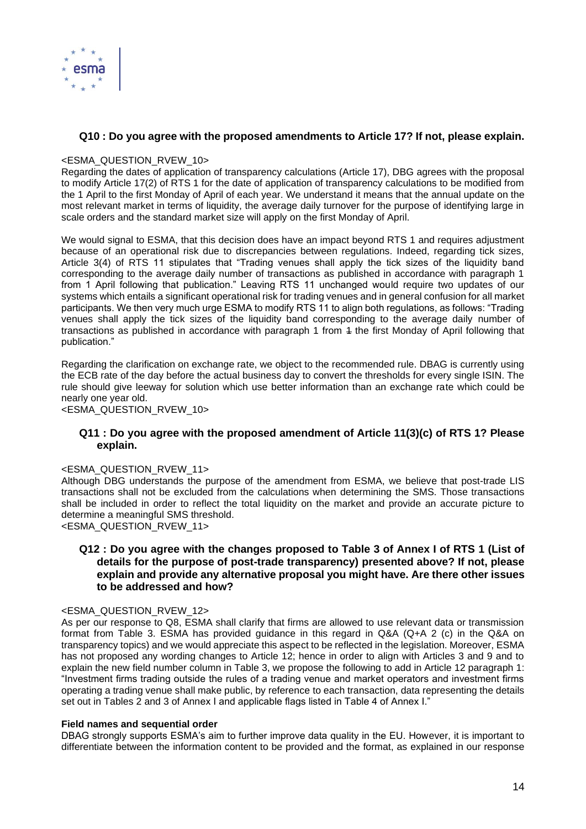

# **Q10 : Do you agree with the proposed amendments to Article 17? If not, please explain.**

## <ESMA\_QUESTION\_RVEW\_10>

Regarding the dates of application of transparency calculations (Article 17), DBG agrees with the proposal to modify Article 17(2) of RTS 1 for the date of application of transparency calculations to be modified from the 1 April to the first Monday of April of each year. We understand it means that the annual update on the most relevant market in terms of liquidity, the average daily turnover for the purpose of identifying large in scale orders and the standard market size will apply on the first Monday of April.

We would signal to ESMA, that this decision does have an impact beyond RTS 1 and requires adjustment because of an operational risk due to discrepancies between regulations. Indeed, regarding tick sizes, Article 3(4) of RTS 11 stipulates that "Trading venues shall apply the tick sizes of the liquidity band corresponding to the average daily number of transactions as published in accordance with paragraph 1 from 1 April following that publication." Leaving RTS 11 unchanged would require two updates of our systems which entails a significant operational risk for trading venues and in general confusion for all market participants. We then very much urge ESMA to modify RTS 11 to align both regulations, as follows: "Trading venues shall apply the tick sizes of the liquidity band corresponding to the average daily number of transactions as published in accordance with paragraph 1 from 1 the first Monday of April following that publication."

Regarding the clarification on exchange rate, we object to the recommended rule. DBAG is currently using the ECB rate of the day before the actual business day to convert the thresholds for every single ISIN. The rule should give leeway for solution which use better information than an exchange rate which could be nearly one year old.

<ESMA\_QUESTION\_RVEW\_10>

# **Q11 : Do you agree with the proposed amendment of Article 11(3)(c) of RTS 1? Please explain.**

## <ESMA\_QUESTION\_RVEW\_11>

Although DBG understands the purpose of the amendment from ESMA, we believe that post-trade LIS transactions shall not be excluded from the calculations when determining the SMS. Those transactions shall be included in order to reflect the total liquidity on the market and provide an accurate picture to determine a meaningful SMS threshold. <ESMA\_QUESTION\_RVEW\_11>

# **Q12 : Do you agree with the changes proposed to Table 3 of Annex I of RTS 1 (List of details for the purpose of post-trade transparency) presented above? If not, please explain and provide any alternative proposal you might have. Are there other issues to be addressed and how?**

## <ESMA\_QUESTION\_RVEW\_12>

As per our response to Q8, ESMA shall clarify that firms are allowed to use relevant data or transmission format from Table 3. ESMA has provided guidance in this regard in Q&A (Q+A 2 (c) in the Q&A on transparency topics) and we would appreciate this aspect to be reflected in the legislation. Moreover, ESMA has not proposed any wording changes to Article 12; hence in order to align with Articles 3 and 9 and to explain the new field number column in Table 3, we propose the following to add in Article 12 paragraph 1: "Investment firms trading outside the rules of a trading venue and market operators and investment firms operating a trading venue shall make public, by reference to each transaction, data representing the details set out in Tables 2 and 3 of Annex I and applicable flags listed in Table 4 of Annex I."

## **Field names and sequential order**

DBAG strongly supports ESMA's aim to further improve data quality in the EU. However, it is important to differentiate between the information content to be provided and the format, as explained in our response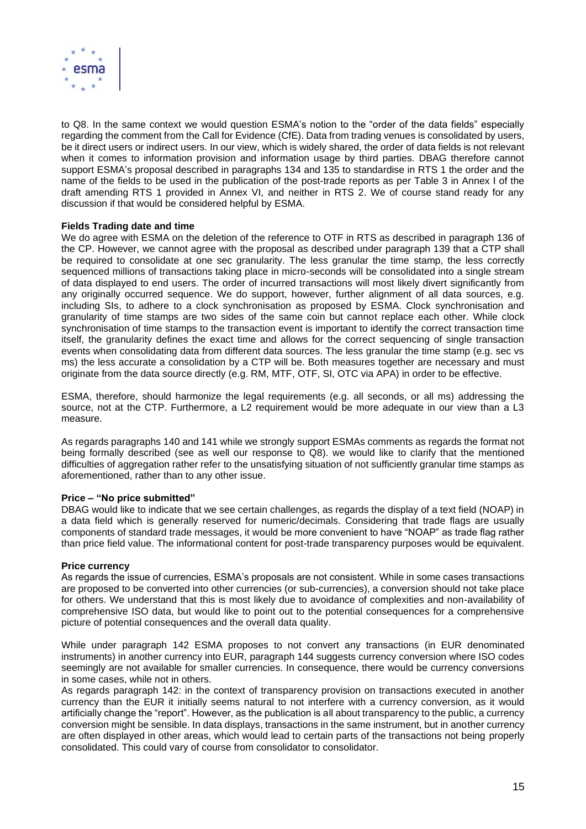

to Q8. In the same context we would question ESMA's notion to the "order of the data fields" especially regarding the comment from the Call for Evidence (CfE). Data from trading venues is consolidated by users, be it direct users or indirect users. In our view, which is widely shared, the order of data fields is not relevant when it comes to information provision and information usage by third parties. DBAG therefore cannot support ESMA's proposal described in paragraphs 134 and 135 to standardise in RTS 1 the order and the name of the fields to be used in the publication of the post-trade reports as per Table 3 in Annex I of the draft amending RTS 1 provided in Annex VI, and neither in RTS 2. We of course stand ready for any discussion if that would be considered helpful by ESMA.

## **Fields Trading date and time**

We do agree with ESMA on the deletion of the reference to OTF in RTS as described in paragraph 136 of the CP. However, we cannot agree with the proposal as described under paragraph 139 that a CTP shall be required to consolidate at one sec granularity. The less granular the time stamp, the less correctly sequenced millions of transactions taking place in micro-seconds will be consolidated into a single stream of data displayed to end users. The order of incurred transactions will most likely divert significantly from any originally occurred sequence. We do support, however, further alignment of all data sources, e.g. including SIs, to adhere to a clock synchronisation as proposed by ESMA. Clock synchronisation and granularity of time stamps are two sides of the same coin but cannot replace each other. While clock synchronisation of time stamps to the transaction event is important to identify the correct transaction time itself, the granularity defines the exact time and allows for the correct sequencing of single transaction events when consolidating data from different data sources. The less granular the time stamp (e.g. sec vs ms) the less accurate a consolidation by a CTP will be. Both measures together are necessary and must originate from the data source directly (e.g. RM, MTF, OTF, SI, OTC via APA) in order to be effective.

ESMA, therefore, should harmonize the legal requirements (e.g. all seconds, or all ms) addressing the source, not at the CTP. Furthermore, a L2 requirement would be more adequate in our view than a L3 measure.

As regards paragraphs 140 and 141 while we strongly support ESMAs comments as regards the format not being formally described (see as well our response to Q8). we would like to clarify that the mentioned difficulties of aggregation rather refer to the unsatisfying situation of not sufficiently granular time stamps as aforementioned, rather than to any other issue.

## **Price – "No price submitted"**

DBAG would like to indicate that we see certain challenges, as regards the display of a text field (NOAP) in a data field which is generally reserved for numeric/decimals. Considering that trade flags are usually components of standard trade messages, it would be more convenient to have "NOAP" as trade flag rather than price field value. The informational content for post-trade transparency purposes would be equivalent.

## **Price currency**

As regards the issue of currencies, ESMA's proposals are not consistent. While in some cases transactions are proposed to be converted into other currencies (or sub-currencies), a conversion should not take place for others. We understand that this is most likely due to avoidance of complexities and non-availability of comprehensive ISO data, but would like to point out to the potential consequences for a comprehensive picture of potential consequences and the overall data quality.

While under paragraph 142 ESMA proposes to not convert any transactions (in EUR denominated instruments) in another currency into EUR, paragraph 144 suggests currency conversion where ISO codes seemingly are not available for smaller currencies. In consequence, there would be currency conversions in some cases, while not in others.

As regards paragraph 142: in the context of transparency provision on transactions executed in another currency than the EUR it initially seems natural to not interfere with a currency conversion, as it would artificially change the "report". However, as the publication is all about transparency to the public, a currency conversion might be sensible. In data displays, transactions in the same instrument, but in another currency are often displayed in other areas, which would lead to certain parts of the transactions not being properly consolidated. This could vary of course from consolidator to consolidator.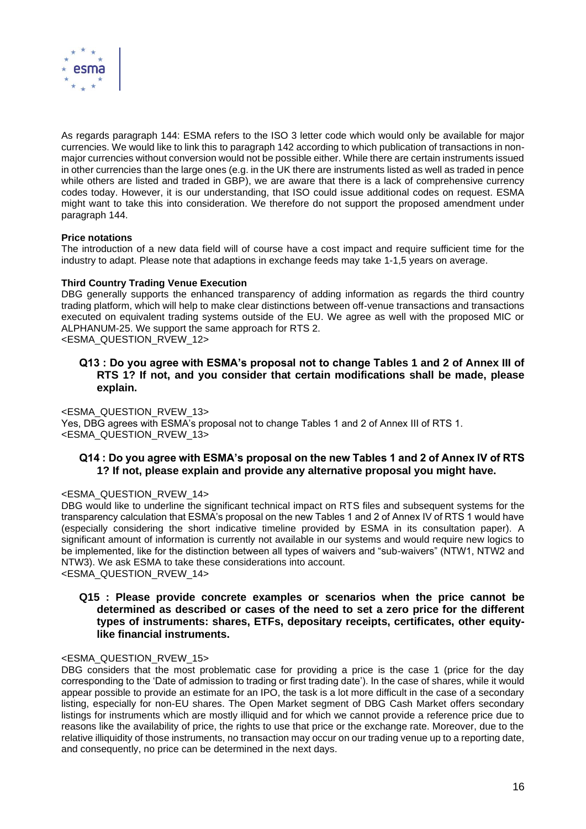

As regards paragraph 144: ESMA refers to the ISO 3 letter code which would only be available for major currencies. We would like to link this to paragraph 142 according to which publication of transactions in nonmajor currencies without conversion would not be possible either. While there are certain instruments issued in other currencies than the large ones (e.g. in the UK there are instruments listed as well as traded in pence while others are listed and traded in GBP), we are aware that there is a lack of comprehensive currency codes today. However, it is our understanding, that ISO could issue additional codes on request. ESMA might want to take this into consideration. We therefore do not support the proposed amendment under paragraph 144.

# **Price notations**

The introduction of a new data field will of course have a cost impact and require sufficient time for the industry to adapt. Please note that adaptions in exchange feeds may take 1-1,5 years on average.

## **Third Country Trading Venue Execution**

DBG generally supports the enhanced transparency of adding information as regards the third country trading platform, which will help to make clear distinctions between off-venue transactions and transactions executed on equivalent trading systems outside of the EU. We agree as well with the proposed MIC or ALPHANUM-25. We support the same approach for RTS 2. <ESMA\_QUESTION\_RVEW\_12>

# **Q13 : Do you agree with ESMA's proposal not to change Tables 1 and 2 of Annex III of RTS 1? If not, and you consider that certain modifications shall be made, please explain.**

<ESMA\_QUESTION\_RVEW\_13> Yes, DBG agrees with ESMA's proposal not to change Tables 1 and 2 of Annex III of RTS 1. <ESMA\_QUESTION\_RVEW\_13>

# **Q14 : Do you agree with ESMA's proposal on the new Tables 1 and 2 of Annex IV of RTS 1? If not, please explain and provide any alternative proposal you might have.**

## <ESMA\_QUESTION\_RVEW\_14>

DBG would like to underline the significant technical impact on RTS files and subsequent systems for the transparency calculation that ESMA's proposal on the new Tables 1 and 2 of Annex IV of RTS 1 would have (especially considering the short indicative timeline provided by ESMA in its consultation paper). A significant amount of information is currently not available in our systems and would require new logics to be implemented, like for the distinction between all types of waivers and "sub-waivers" (NTW1, NTW2 and NTW3). We ask ESMA to take these considerations into account. <ESMA\_QUESTION\_RVEW\_14>

# **Q15 : Please provide concrete examples or scenarios when the price cannot be determined as described or cases of the need to set a zero price for the different types of instruments: shares, ETFs, depositary receipts, certificates, other equitylike financial instruments.**

# <ESMA\_QUESTION\_RVEW\_15>

DBG considers that the most problematic case for providing a price is the case 1 (price for the day corresponding to the 'Date of admission to trading or first trading date'). In the case of shares, while it would appear possible to provide an estimate for an IPO, the task is a lot more difficult in the case of a secondary listing, especially for non-EU shares. The Open Market segment of DBG Cash Market offers secondary listings for instruments which are mostly illiquid and for which we cannot provide a reference price due to reasons like the availability of price, the rights to use that price or the exchange rate. Moreover, due to the relative illiquidity of those instruments, no transaction may occur on our trading venue up to a reporting date, and consequently, no price can be determined in the next days.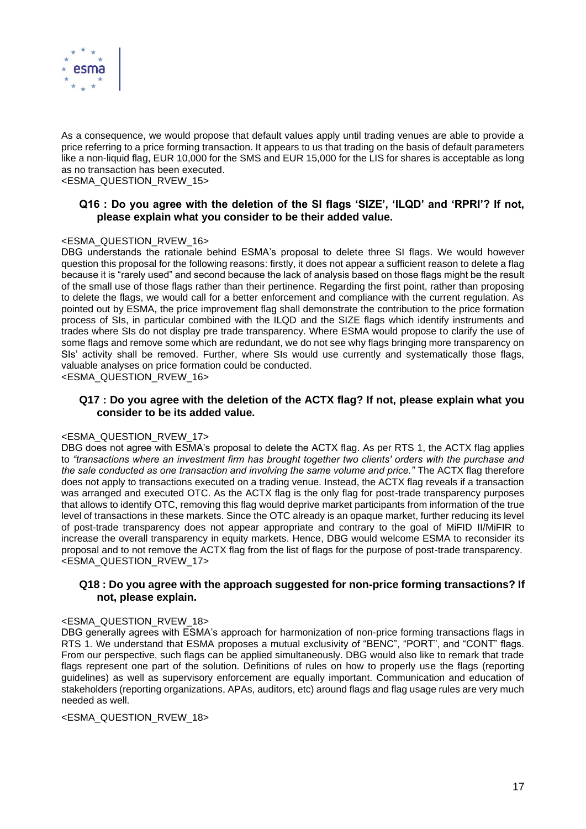

As a consequence, we would propose that default values apply until trading venues are able to provide a price referring to a price forming transaction. It appears to us that trading on the basis of default parameters like a non-liquid flag, EUR 10,000 for the SMS and EUR 15,000 for the LIS for shares is acceptable as long as no transaction has been executed.

## <ESMA\_QUESTION\_RVEW\_15>

# **Q16 : Do you agree with the deletion of the SI flags 'SIZE', 'ILQD' and 'RPRI'? If not, please explain what you consider to be their added value.**

# <ESMA\_QUESTION\_RVEW\_16>

DBG understands the rationale behind ESMA's proposal to delete three SI flags. We would however question this proposal for the following reasons: firstly, it does not appear a sufficient reason to delete a flag because it is "rarely used" and second because the lack of analysis based on those flags might be the result of the small use of those flags rather than their pertinence. Regarding the first point, rather than proposing to delete the flags, we would call for a better enforcement and compliance with the current regulation. As pointed out by ESMA, the price improvement flag shall demonstrate the contribution to the price formation process of SIs, in particular combined with the ILQD and the SIZE flags which identify instruments and trades where SIs do not display pre trade transparency. Where ESMA would propose to clarify the use of some flags and remove some which are redundant, we do not see why flags bringing more transparency on SIs' activity shall be removed. Further, where SIs would use currently and systematically those flags, valuable analyses on price formation could be conducted.

<ESMA\_QUESTION\_RVEW\_16>

# **Q17 : Do you agree with the deletion of the ACTX flag? If not, please explain what you consider to be its added value.**

# <ESMA\_QUESTION\_RVEW\_17>

DBG does not agree with ESMA's proposal to delete the ACTX flag. As per RTS 1, the ACTX flag applies to *"transactions where an investment firm has brought together two clients' orders with the purchase and the sale conducted as one transaction and involving the same volume and price."* The ACTX flag therefore does not apply to transactions executed on a trading venue. Instead, the ACTX flag reveals if a transaction was arranged and executed OTC. As the ACTX flag is the only flag for post-trade transparency purposes that allows to identify OTC, removing this flag would deprive market participants from information of the true level of transactions in these markets. Since the OTC already is an opaque market, further reducing its level of post-trade transparency does not appear appropriate and contrary to the goal of MiFID II/MiFIR to increase the overall transparency in equity markets. Hence, DBG would welcome ESMA to reconsider its proposal and to not remove the ACTX flag from the list of flags for the purpose of post-trade transparency. <ESMA\_QUESTION\_RVEW\_17>

# **Q18 : Do you agree with the approach suggested for non-price forming transactions? If not, please explain.**

## <ESMA\_QUESTION\_RVEW\_18>

DBG generally agrees with ESMA's approach for harmonization of non-price forming transactions flags in RTS 1. We understand that ESMA proposes a mutual exclusivity of "BENC", "PORT", and "CONT" flags. From our perspective, such flags can be applied simultaneously. DBG would also like to remark that trade flags represent one part of the solution. Definitions of rules on how to properly use the flags (reporting guidelines) as well as supervisory enforcement are equally important. Communication and education of stakeholders (reporting organizations, APAs, auditors, etc) around flags and flag usage rules are very much needed as well.

<ESMA\_QUESTION\_RVEW\_18>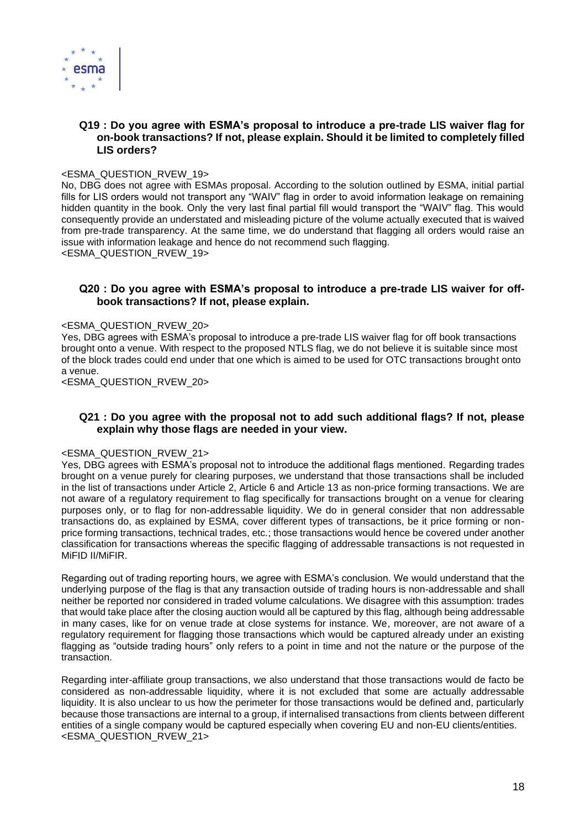

# **Q19 : Do you agree with ESMA's proposal to introduce a pre-trade LIS waiver flag for on-book transactions? If not, please explain. Should it be limited to completely filled LIS orders?**

## <ESMA\_QUESTION\_RVEW\_19>

No, DBG does not agree with ESMAs proposal. According to the solution outlined by ESMA, initial partial fills for LIS orders would not transport any "WAIV" flag in order to avoid information leakage on remaining hidden quantity in the book. Only the very last final partial fill would transport the "WAIV" flag. This would consequently provide an understated and misleading picture of the volume actually executed that is waived from pre-trade transparency. At the same time, we do understand that flagging all orders would raise an issue with information leakage and hence do not recommend such flagging. <ESMA\_QUESTION\_RVEW\_19>

# **Q20 : Do you agree with ESMA's proposal to introduce a pre-trade LIS waiver for offbook transactions? If not, please explain.**

## <ESMA\_QUESTION\_RVEW\_20>

Yes, DBG agrees with ESMA's proposal to introduce a pre-trade LIS waiver flag for off book transactions brought onto a venue. With respect to the proposed NTLS flag, we do not believe it is suitable since most of the block trades could end under that one which is aimed to be used for OTC transactions brought onto a venue.

<ESMA\_QUESTION\_RVEW\_20>

# **Q21 : Do you agree with the proposal not to add such additional flags? If not, please explain why those flags are needed in your view.**

## <ESMA\_QUESTION\_RVEW\_21>

Yes, DBG agrees with ESMA's proposal not to introduce the additional flags mentioned. Regarding trades brought on a venue purely for clearing purposes, we understand that those transactions shall be included in the list of transactions under Article 2, Article 6 and Article 13 as non-price forming transactions. We are not aware of a regulatory requirement to flag specifically for transactions brought on a venue for clearing purposes only, or to flag for non-addressable liquidity. We do in general consider that non addressable transactions do, as explained by ESMA, cover different types of transactions, be it price forming or nonprice forming transactions, technical trades, etc.; those transactions would hence be covered under another classification for transactions whereas the specific flagging of addressable transactions is not requested in MiFID II/MiFIR.

Regarding out of trading reporting hours, we agree with ESMA's conclusion. We would understand that the underlying purpose of the flag is that any transaction outside of trading hours is non-addressable and shall neither be reported nor considered in traded volume calculations. We disagree with this assumption: trades that would take place after the closing auction would all be captured by this flag, although being addressable in many cases, like for on venue trade at close systems for instance. We, moreover, are not aware of a regulatory requirement for flagging those transactions which would be captured already under an existing flagging as "outside trading hours" only refers to a point in time and not the nature or the purpose of the transaction.

Regarding inter-affiliate group transactions, we also understand that those transactions would de facto be considered as non-addressable liquidity, where it is not excluded that some are actually addressable liquidity. It is also unclear to us how the perimeter for those transactions would be defined and, particularly because those transactions are internal to a group, if internalised transactions from clients between different entities of a single company would be captured especially when covering EU and non-EU clients/entities. <ESMA\_QUESTION\_RVEW\_21>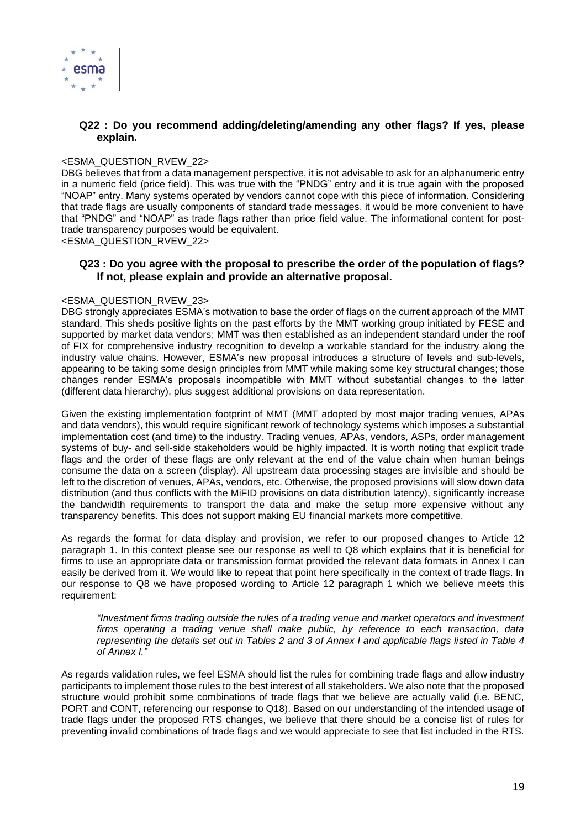

# **Q22 : Do you recommend adding/deleting/amending any other flags? If yes, please explain.**

## <ESMA\_QUESTION\_RVEW\_22>

DBG believes that from a data management perspective, it is not advisable to ask for an alphanumeric entry in a numeric field (price field). This was true with the "PNDG" entry and it is true again with the proposed "NOAP" entry. Many systems operated by vendors cannot cope with this piece of information. Considering that trade flags are usually components of standard trade messages, it would be more convenient to have that "PNDG" and "NOAP" as trade flags rather than price field value. The informational content for posttrade transparency purposes would be equivalent.

<ESMA\_QUESTION\_RVEW\_22>

# **Q23 : Do you agree with the proposal to prescribe the order of the population of flags? If not, please explain and provide an alternative proposal.**

## <ESMA\_QUESTION\_RVEW\_23>

DBG strongly appreciates ESMA's motivation to base the order of flags on the current approach of the MMT standard. This sheds positive lights on the past efforts by the MMT working group initiated by FESE and supported by market data vendors; MMT was then established as an independent standard under the roof of FIX for comprehensive industry recognition to develop a workable standard for the industry along the industry value chains. However, ESMA's new proposal introduces a structure of levels and sub-levels, appearing to be taking some design principles from MMT while making some key structural changes; those changes render ESMA's proposals incompatible with MMT without substantial changes to the latter (different data hierarchy), plus suggest additional provisions on data representation.

Given the existing implementation footprint of MMT (MMT adopted by most major trading venues, APAs and data vendors), this would require significant rework of technology systems which imposes a substantial implementation cost (and time) to the industry. Trading venues, APAs, vendors, ASPs, order management systems of buy- and sell-side stakeholders would be highly impacted. It is worth noting that explicit trade flags and the order of these flags are only relevant at the end of the value chain when human beings consume the data on a screen (display). All upstream data processing stages are invisible and should be left to the discretion of venues, APAs, vendors, etc. Otherwise, the proposed provisions will slow down data distribution (and thus conflicts with the MiFID provisions on data distribution latency), significantly increase the bandwidth requirements to transport the data and make the setup more expensive without any transparency benefits. This does not support making EU financial markets more competitive.

As regards the format for data display and provision, we refer to our proposed changes to Article 12 paragraph 1. In this context please see our response as well to Q8 which explains that it is beneficial for firms to use an appropriate data or transmission format provided the relevant data formats in Annex I can easily be derived from it. We would like to repeat that point here specifically in the context of trade flags. In our response to Q8 we have proposed wording to Article 12 paragraph 1 which we believe meets this requirement:

*"Investment firms trading outside the rules of a trading venue and market operators and investment firms operating a trading venue shall make public, by reference to each transaction, data representing the details set out in Tables 2 and 3 of Annex I and applicable flags listed in Table 4 of Annex I."*

As regards validation rules, we feel ESMA should list the rules for combining trade flags and allow industry participants to implement those rules to the best interest of all stakeholders. We also note that the proposed structure would prohibit some combinations of trade flags that we believe are actually valid (i.e. BENC, PORT and CONT, referencing our response to Q18). Based on our understanding of the intended usage of trade flags under the proposed RTS changes, we believe that there should be a concise list of rules for preventing invalid combinations of trade flags and we would appreciate to see that list included in the RTS.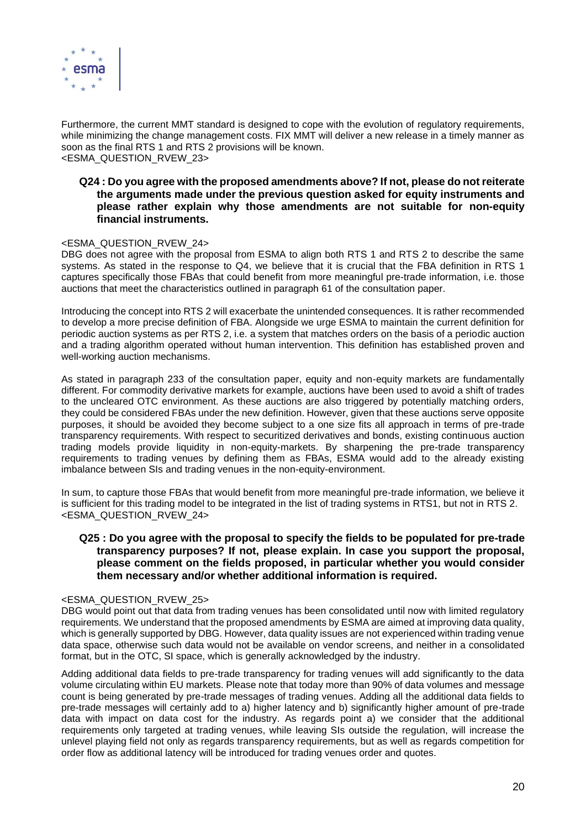

Furthermore, the current MMT standard is designed to cope with the evolution of regulatory requirements, while minimizing the change management costs. FIX MMT will deliver a new release in a timely manner as soon as the final RTS 1 and RTS 2 provisions will be known. <ESMA\_QUESTION\_RVEW\_23>

# **Q24 : Do you agree with the proposed amendments above? If not, please do not reiterate the arguments made under the previous question asked for equity instruments and please rather explain why those amendments are not suitable for non-equity financial instruments.**

# <ESMA\_QUESTION\_RVEW\_24>

DBG does not agree with the proposal from ESMA to align both RTS 1 and RTS 2 to describe the same systems. As stated in the response to Q4, we believe that it is crucial that the FBA definition in RTS 1 captures specifically those FBAs that could benefit from more meaningful pre-trade information, i.e. those auctions that meet the characteristics outlined in paragraph 61 of the consultation paper.

Introducing the concept into RTS 2 will exacerbate the unintended consequences. It is rather recommended to develop a more precise definition of FBA. Alongside we urge ESMA to maintain the current definition for periodic auction systems as per RTS 2, i.e. a system that matches orders on the basis of a periodic auction and a trading algorithm operated without human intervention. This definition has established proven and well-working auction mechanisms.

As stated in paragraph 233 of the consultation paper, equity and non-equity markets are fundamentally different. For commodity derivative markets for example, auctions have been used to avoid a shift of trades to the uncleared OTC environment. As these auctions are also triggered by potentially matching orders, they could be considered FBAs under the new definition. However, given that these auctions serve opposite purposes, it should be avoided they become subject to a one size fits all approach in terms of pre-trade transparency requirements. With respect to securitized derivatives and bonds, existing continuous auction trading models provide liquidity in non-equity-markets. By sharpening the pre-trade transparency requirements to trading venues by defining them as FBAs, ESMA would add to the already existing imbalance between SIs and trading venues in the non-equity-environment.

In sum, to capture those FBAs that would benefit from more meaningful pre-trade information, we believe it is sufficient for this trading model to be integrated in the list of trading systems in RTS1, but not in RTS 2. <ESMA\_QUESTION\_RVEW\_24>

# **Q25 : Do you agree with the proposal to specify the fields to be populated for pre-trade transparency purposes? If not, please explain. In case you support the proposal, please comment on the fields proposed, in particular whether you would consider them necessary and/or whether additional information is required.**

## <ESMA\_QUESTION\_RVEW\_25>

DBG would point out that data from trading venues has been consolidated until now with limited regulatory requirements. We understand that the proposed amendments by ESMA are aimed at improving data quality, which is generally supported by DBG. However, data quality issues are not experienced within trading venue data space, otherwise such data would not be available on vendor screens, and neither in a consolidated format, but in the OTC, SI space, which is generally acknowledged by the industry.

Adding additional data fields to pre-trade transparency for trading venues will add significantly to the data volume circulating within EU markets. Please note that today more than 90% of data volumes and message count is being generated by pre-trade messages of trading venues. Adding all the additional data fields to pre-trade messages will certainly add to a) higher latency and b) significantly higher amount of pre-trade data with impact on data cost for the industry. As regards point a) we consider that the additional requirements only targeted at trading venues, while leaving SIs outside the regulation, will increase the unlevel playing field not only as regards transparency requirements, but as well as regards competition for order flow as additional latency will be introduced for trading venues order and quotes.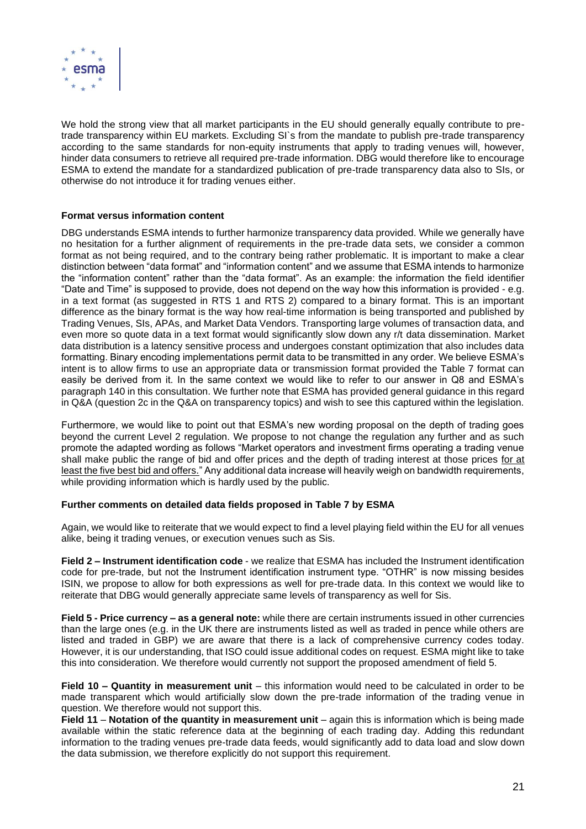

We hold the strong view that all market participants in the EU should generally equally contribute to pretrade transparency within EU markets. Excluding SI`s from the mandate to publish pre-trade transparency according to the same standards for non-equity instruments that apply to trading venues will, however, hinder data consumers to retrieve all required pre-trade information. DBG would therefore like to encourage ESMA to extend the mandate for a standardized publication of pre-trade transparency data also to SIs, or otherwise do not introduce it for trading venues either.

# **Format versus information content**

DBG understands ESMA intends to further harmonize transparency data provided. While we generally have no hesitation for a further alignment of requirements in the pre-trade data sets, we consider a common format as not being required, and to the contrary being rather problematic. It is important to make a clear distinction between "data format" and "information content" and we assume that ESMA intends to harmonize the "information content" rather than the "data format". As an example: the information the field identifier "Date and Time" is supposed to provide, does not depend on the way how this information is provided - e.g. in a text format (as suggested in RTS 1 and RTS 2) compared to a binary format. This is an important difference as the binary format is the way how real-time information is being transported and published by Trading Venues, SIs, APAs, and Market Data Vendors. Transporting large volumes of transaction data, and even more so quote data in a text format would significantly slow down any r/t data dissemination. Market data distribution is a latency sensitive process and undergoes constant optimization that also includes data formatting. Binary encoding implementations permit data to be transmitted in any order. We believe ESMA's intent is to allow firms to use an appropriate data or transmission format provided the Table 7 format can easily be derived from it. In the same context we would like to refer to our answer in Q8 and ESMA's paragraph 140 in this consultation. We further note that ESMA has provided general guidance in this regard in Q&A (question 2c in the Q&A on transparency topics) and wish to see this captured within the legislation.

Furthermore, we would like to point out that ESMA's new wording proposal on the depth of trading goes beyond the current Level 2 regulation. We propose to not change the regulation any further and as such promote the adapted wording as follows "Market operators and investment firms operating a trading venue shall make public the range of bid and offer prices and the depth of trading interest at those prices for at least the five best bid and offers." Any additional data increase will heavily weigh on bandwidth requirements, while providing information which is hardly used by the public.

## **Further comments on detailed data fields proposed in Table 7 by ESMA**

Again, we would like to reiterate that we would expect to find a level playing field within the EU for all venues alike, being it trading venues, or execution venues such as Sis.

**Field 2 – Instrument identification code** - we realize that ESMA has included the Instrument identification code for pre-trade, but not the Instrument identification instrument type. "OTHR" is now missing besides ISIN, we propose to allow for both expressions as well for pre-trade data. In this context we would like to reiterate that DBG would generally appreciate same levels of transparency as well for Sis.

**Field 5 - Price currency – as a general note:** while there are certain instruments issued in other currencies than the large ones (e.g. in the UK there are instruments listed as well as traded in pence while others are listed and traded in GBP) we are aware that there is a lack of comprehensive currency codes today. However, it is our understanding, that ISO could issue additional codes on request. ESMA might like to take this into consideration. We therefore would currently not support the proposed amendment of field 5.

**Field 10 – Quantity in measurement unit** – this information would need to be calculated in order to be made transparent which would artificially slow down the pre-trade information of the trading venue in question. We therefore would not support this.

**Field 11** – **Notation of the quantity in measurement unit** – again this is information which is being made available within the static reference data at the beginning of each trading day. Adding this redundant information to the trading venues pre-trade data feeds, would significantly add to data load and slow down the data submission, we therefore explicitly do not support this requirement.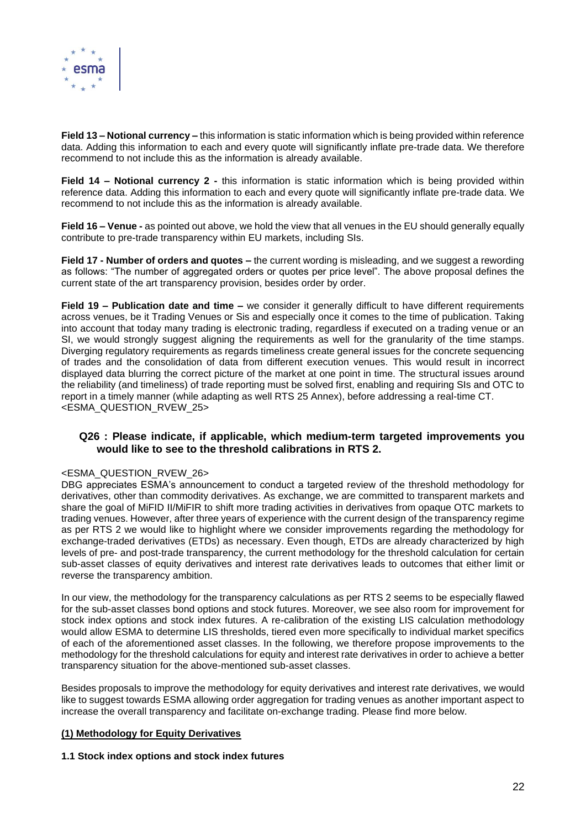

**Field 13 – Notional currency –** this information is static information which is being provided within reference data. Adding this information to each and every quote will significantly inflate pre-trade data. We therefore recommend to not include this as the information is already available.

**Field 14 – Notional currency 2 -** this information is static information which is being provided within reference data. Adding this information to each and every quote will significantly inflate pre-trade data. We recommend to not include this as the information is already available.

**Field 16 – Venue -** as pointed out above, we hold the view that all venues in the EU should generally equally contribute to pre-trade transparency within EU markets, including SIs.

**Field 17 - Number of orders and quotes –** the current wording is misleading, and we suggest a rewording as follows: "The number of aggregated orders or quotes per price level". The above proposal defines the current state of the art transparency provision, besides order by order.

**Field 19 – Publication date and time –** we consider it generally difficult to have different requirements across venues, be it Trading Venues or Sis and especially once it comes to the time of publication. Taking into account that today many trading is electronic trading, regardless if executed on a trading venue or an SI, we would strongly suggest aligning the requirements as well for the granularity of the time stamps. Diverging regulatory requirements as regards timeliness create general issues for the concrete sequencing of trades and the consolidation of data from different execution venues. This would result in incorrect displayed data blurring the correct picture of the market at one point in time. The structural issues around the reliability (and timeliness) of trade reporting must be solved first, enabling and requiring SIs and OTC to report in a timely manner (while adapting as well RTS 25 Annex), before addressing a real-time CT. <ESMA\_QUESTION\_RVEW\_25>

# **Q26 : Please indicate, if applicable, which medium-term targeted improvements you would like to see to the threshold calibrations in RTS 2.**

# <ESMA\_QUESTION\_RVEW\_26>

DBG appreciates ESMA's announcement to conduct a targeted review of the threshold methodology for derivatives, other than commodity derivatives. As exchange, we are committed to transparent markets and share the goal of MiFID II/MiFIR to shift more trading activities in derivatives from opaque OTC markets to trading venues. However, after three years of experience with the current design of the transparency regime as per RTS 2 we would like to highlight where we consider improvements regarding the methodology for exchange-traded derivatives (ETDs) as necessary. Even though, ETDs are already characterized by high levels of pre- and post-trade transparency, the current methodology for the threshold calculation for certain sub-asset classes of equity derivatives and interest rate derivatives leads to outcomes that either limit or reverse the transparency ambition.

In our view, the methodology for the transparency calculations as per RTS 2 seems to be especially flawed for the sub-asset classes bond options and stock futures. Moreover, we see also room for improvement for stock index options and stock index futures. A re-calibration of the existing LIS calculation methodology would allow ESMA to determine LIS thresholds, tiered even more specifically to individual market specifics of each of the aforementioned asset classes. In the following, we therefore propose improvements to the methodology for the threshold calculations for equity and interest rate derivatives in order to achieve a better transparency situation for the above-mentioned sub-asset classes.

Besides proposals to improve the methodology for equity derivatives and interest rate derivatives, we would like to suggest towards ESMA allowing order aggregation for trading venues as another important aspect to increase the overall transparency and facilitate on-exchange trading. Please find more below.

# **(1) Methodology for Equity Derivatives**

# **1.1 Stock index options and stock index futures**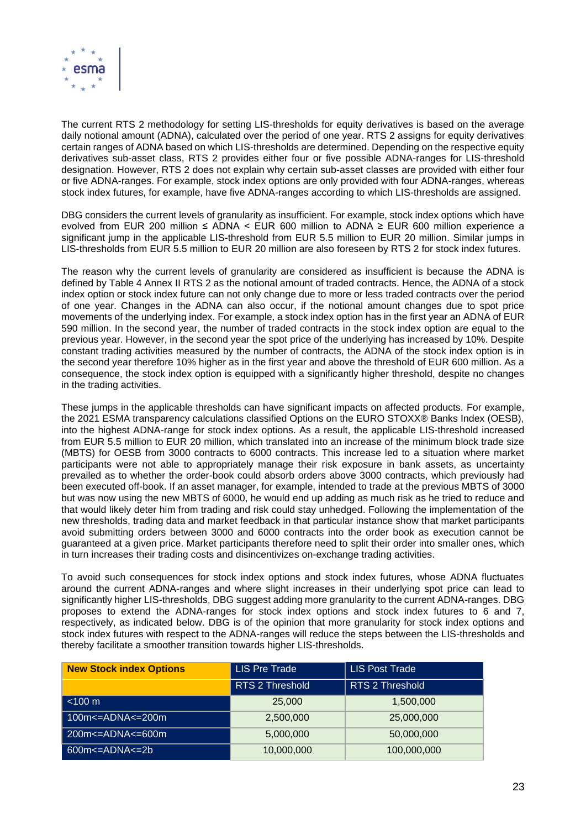

The current RTS 2 methodology for setting LIS-thresholds for equity derivatives is based on the average daily notional amount (ADNA), calculated over the period of one year. RTS 2 assigns for equity derivatives certain ranges of ADNA based on which LIS-thresholds are determined. Depending on the respective equity derivatives sub-asset class, RTS 2 provides either four or five possible ADNA-ranges for LIS-threshold designation. However, RTS 2 does not explain why certain sub-asset classes are provided with either four or five ADNA-ranges. For example, stock index options are only provided with four ADNA-ranges, whereas stock index futures, for example, have five ADNA-ranges according to which LIS-thresholds are assigned.

DBG considers the current levels of granularity as insufficient. For example, stock index options which have evolved from EUR 200 million ≤ ADNA < EUR 600 million to ADNA ≥ EUR 600 million experience a significant jump in the applicable LIS-threshold from EUR 5.5 million to EUR 20 million. Similar jumps in LIS-thresholds from EUR 5.5 million to EUR 20 million are also foreseen by RTS 2 for stock index futures.

The reason why the current levels of granularity are considered as insufficient is because the ADNA is defined by Table 4 Annex II RTS 2 as the notional amount of traded contracts. Hence, the ADNA of a stock index option or stock index future can not only change due to more or less traded contracts over the period of one year. Changes in the ADNA can also occur, if the notional amount changes due to spot price movements of the underlying index. For example, a stock index option has in the first year an ADNA of EUR 590 million. In the second year, the number of traded contracts in the stock index option are equal to the previous year. However, in the second year the spot price of the underlying has increased by 10%. Despite constant trading activities measured by the number of contracts, the ADNA of the stock index option is in the second year therefore 10% higher as in the first year and above the threshold of EUR 600 million. As a consequence, the stock index option is equipped with a significantly higher threshold, despite no changes in the trading activities.

These jumps in the applicable thresholds can have significant impacts on affected products. For example, the 2021 ESMA transparency calculations classified Options on the EURO STOXX® Banks Index (OESB), into the highest ADNA-range for stock index options. As a result, the applicable LIS-threshold increased from EUR 5.5 million to EUR 20 million, which translated into an increase of the minimum block trade size (MBTS) for OESB from 3000 contracts to 6000 contracts. This increase led to a situation where market participants were not able to appropriately manage their risk exposure in bank assets, as uncertainty prevailed as to whether the order-book could absorb orders above 3000 contracts, which previously had been executed off-book. If an asset manager, for example, intended to trade at the previous MBTS of 3000 but was now using the new MBTS of 6000, he would end up adding as much risk as he tried to reduce and that would likely deter him from trading and risk could stay unhedged. Following the implementation of the new thresholds, trading data and market feedback in that particular instance show that market participants avoid submitting orders between 3000 and 6000 contracts into the order book as execution cannot be guaranteed at a given price. Market participants therefore need to split their order into smaller ones, which in turn increases their trading costs and disincentivizes on-exchange trading activities.

To avoid such consequences for stock index options and stock index futures, whose ADNA fluctuates around the current ADNA-ranges and where slight increases in their underlying spot price can lead to significantly higher LIS-thresholds, DBG suggest adding more granularity to the current ADNA-ranges. DBG proposes to extend the ADNA-ranges for stock index options and stock index futures to 6 and 7, respectively, as indicated below. DBG is of the opinion that more granularity for stock index options and stock index futures with respect to the ADNA-ranges will reduce the steps between the LIS-thresholds and thereby facilitate a smoother transition towards higher LIS-thresholds.

| <b>New Stock index Options</b> | <b>LIS Pre Trade</b>   | <b>LIS Post Trade</b> |
|--------------------------------|------------------------|-----------------------|
|                                | <b>RTS 2 Threshold</b> | RTS 2 Threshold       |
| < 100 m                        | 25,000                 | 1,500,000             |
| 100m<=ADNA<=200m               | 2,500,000              | 25,000,000            |
| 200m<=ADNA<=600m               | 5,000,000              | 50,000,000            |
| 600m<=ADNA<=2b                 | 10,000,000             | 100,000,000           |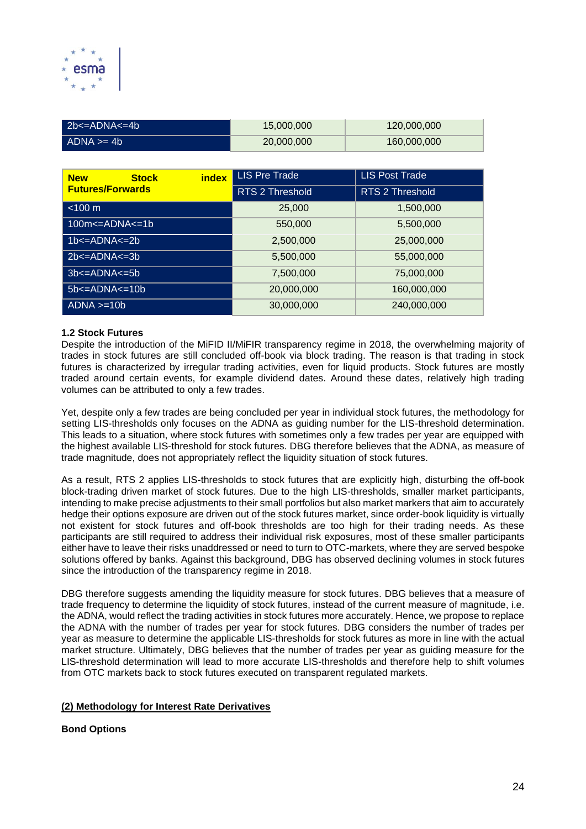

| 2b<=ADNA<=4b   | 15,000,000 | 120.000.000 |
|----------------|------------|-------------|
| $ADNA \geq 4b$ | 20,000,000 | 160,000,000 |

| <b>index</b><br><b>New</b><br><b>Stock</b><br><b>Futures/Forwards</b> | <b>LIS Pre Trade</b> | <b>LIS Post Trade</b> |
|-----------------------------------------------------------------------|----------------------|-----------------------|
|                                                                       | RTS 2 Threshold      | RTS 2 Threshold       |
| $<$ 100 $m$                                                           | 25,000               | 1,500,000             |
| $100m < = ADNA < = 1b$                                                | 550,000              | 5,500,000             |
| $1b \leq ADNA \leq 2b$                                                | 2,500,000            | 25,000,000            |
| $2b \leq ADNA \leq 3b$                                                | 5,500,000            | 55,000,000            |
| $3b \leq ADNA \leq 5b$                                                | 7,500,000            | 75,000,000            |
| $5b \leq ADNA \leq 10b$                                               | 20,000,000           | 160,000,000           |
| $ADNA \ge 10b$                                                        | 30,000,000           | 240,000,000           |

## **1.2 Stock Futures**

Despite the introduction of the MiFID II/MiFIR transparency regime in 2018, the overwhelming majority of trades in stock futures are still concluded off-book via block trading. The reason is that trading in stock futures is characterized by irregular trading activities, even for liquid products. Stock futures are mostly traded around certain events, for example dividend dates. Around these dates, relatively high trading volumes can be attributed to only a few trades.

Yet, despite only a few trades are being concluded per year in individual stock futures, the methodology for setting LIS-thresholds only focuses on the ADNA as guiding number for the LIS-threshold determination. This leads to a situation, where stock futures with sometimes only a few trades per year are equipped with the highest available LIS-threshold for stock futures. DBG therefore believes that the ADNA, as measure of trade magnitude, does not appropriately reflect the liquidity situation of stock futures.

As a result, RTS 2 applies LIS-thresholds to stock futures that are explicitly high, disturbing the off-book block-trading driven market of stock futures. Due to the high LIS-thresholds, smaller market participants, intending to make precise adjustments to their small portfolios but also market markers that aim to accurately hedge their options exposure are driven out of the stock futures market, since order-book liquidity is virtually not existent for stock futures and off-book thresholds are too high for their trading needs. As these participants are still required to address their individual risk exposures, most of these smaller participants either have to leave their risks unaddressed or need to turn to OTC-markets, where they are served bespoke solutions offered by banks. Against this background, DBG has observed declining volumes in stock futures since the introduction of the transparency regime in 2018.

DBG therefore suggests amending the liquidity measure for stock futures. DBG believes that a measure of trade frequency to determine the liquidity of stock futures, instead of the current measure of magnitude, i.e. the ADNA, would reflect the trading activities in stock futures more accurately. Hence, we propose to replace the ADNA with the number of trades per year for stock futures. DBG considers the number of trades per year as measure to determine the applicable LIS-thresholds for stock futures as more in line with the actual market structure. Ultimately, DBG believes that the number of trades per year as guiding measure for the LIS-threshold determination will lead to more accurate LIS-thresholds and therefore help to shift volumes from OTC markets back to stock futures executed on transparent regulated markets.

# **(2) Methodology for Interest Rate Derivatives**

# **Bond Options**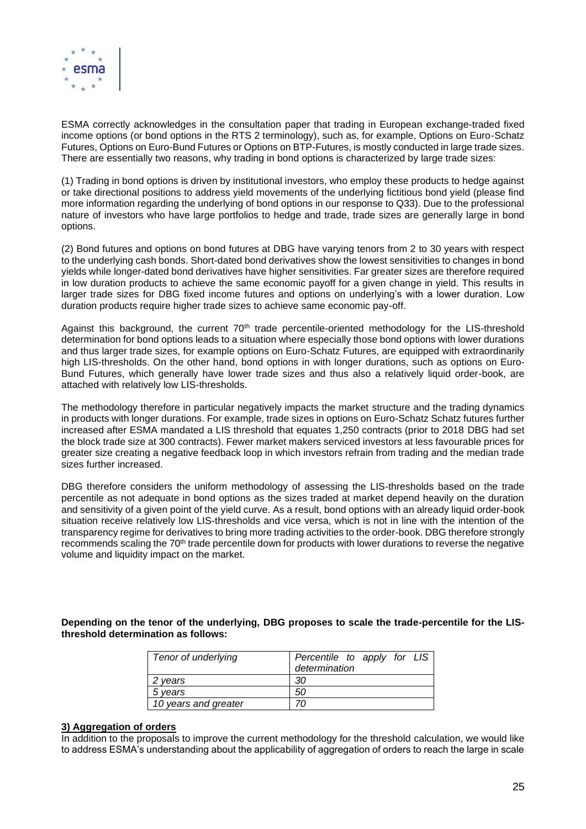

ESMA correctly acknowledges in the consultation paper that trading in European exchange-traded fixed income options (or bond options in the RTS 2 terminology), such as, for example, Options on Euro-Schatz Futures, Options on Euro-Bund Futures or Options on BTP-Futures, is mostly conducted in large trade sizes. There are essentially two reasons, why trading in bond options is characterized by large trade sizes:

(1) Trading in bond options is driven by institutional investors, who employ these products to hedge against or take directional positions to address yield movements of the underlying fictitious bond yield (please find more information regarding the underlying of bond options in our response to Q33). Due to the professional nature of investors who have large portfolios to hedge and trade, trade sizes are generally large in bond options.

(2) Bond futures and options on bond futures at DBG have varying tenors from 2 to 30 years with respect to the underlying cash bonds. Short-dated bond derivatives show the lowest sensitivities to changes in bond yields while longer-dated bond derivatives have higher sensitivities. Far greater sizes are therefore required in low duration products to achieve the same economic payoff for a given change in yield. This results in larger trade sizes for DBG fixed income futures and options on underlying's with a lower duration. Low duration products require higher trade sizes to achieve same economic pay-off.

Against this background, the current 70<sup>th</sup> trade percentile-oriented methodology for the LIS-threshold determination for bond options leads to a situation where especially those bond options with lower durations and thus larger trade sizes, for example options on Euro-Schatz Futures, are equipped with extraordinarily high LIS-thresholds. On the other hand, bond options in with longer durations, such as options on Euro-Bund Futures, which generally have lower trade sizes and thus also a relatively liquid order-book, are attached with relatively low LIS-thresholds.

The methodology therefore in particular negatively impacts the market structure and the trading dynamics in products with longer durations. For example, trade sizes in options on Euro-Schatz Schatz futures further increased after ESMA mandated a LIS threshold that equates 1,250 contracts (prior to 2018 DBG had set the block trade size at 300 contracts). Fewer market makers serviced investors at less favourable prices for greater size creating a negative feedback loop in which investors refrain from trading and the median trade sizes further increased.

DBG therefore considers the uniform methodology of assessing the LIS-thresholds based on the trade percentile as not adequate in bond options as the sizes traded at market depend heavily on the duration and sensitivity of a given point of the yield curve. As a result, bond options with an already liquid order-book situation receive relatively low LIS-thresholds and vice versa, which is not in line with the intention of the transparency regime for derivatives to bring more trading activities to the order-book. DBG therefore strongly recommends scaling the 70<sup>th</sup> trade percentile down for products with lower durations to reverse the negative volume and liquidity impact on the market.

**Depending on the tenor of the underlying, DBG proposes to scale the trade-percentile for the LISthreshold determination as follows:**

| Tenor of underlying  | Percentile to apply for LIS<br>determination |
|----------------------|----------------------------------------------|
| 2 vears              | 30                                           |
|                      |                                              |
| 5 years              | 50                                           |
| 10 years and greater |                                              |

## **3) Aggregation of orders**

In addition to the proposals to improve the current methodology for the threshold calculation, we would like to address ESMA's understanding about the applicability of aggregation of orders to reach the large in scale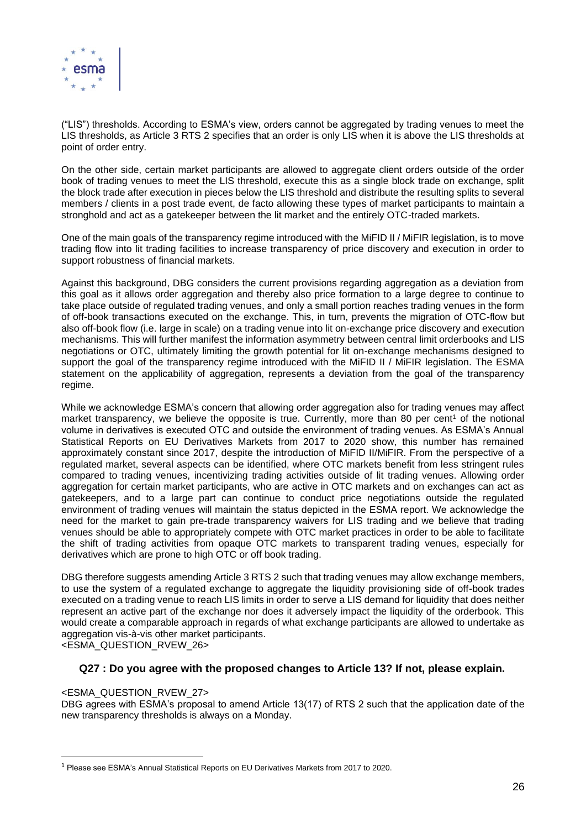

("LIS") thresholds. According to ESMA's view, orders cannot be aggregated by trading venues to meet the LIS thresholds, as Article 3 RTS 2 specifies that an order is only LIS when it is above the LIS thresholds at point of order entry.

On the other side, certain market participants are allowed to aggregate client orders outside of the order book of trading venues to meet the LIS threshold, execute this as a single block trade on exchange, split the block trade after execution in pieces below the LIS threshold and distribute the resulting splits to several members / clients in a post trade event, de facto allowing these types of market participants to maintain a stronghold and act as a gatekeeper between the lit market and the entirely OTC-traded markets.

One of the main goals of the transparency regime introduced with the MiFID II / MiFIR legislation, is to move trading flow into lit trading facilities to increase transparency of price discovery and execution in order to support robustness of financial markets.

Against this background, DBG considers the current provisions regarding aggregation as a deviation from this goal as it allows order aggregation and thereby also price formation to a large degree to continue to take place outside of regulated trading venues, and only a small portion reaches trading venues in the form of off-book transactions executed on the exchange. This, in turn, prevents the migration of OTC-flow but also off-book flow (i.e. large in scale) on a trading venue into lit on-exchange price discovery and execution mechanisms. This will further manifest the information asymmetry between central limit orderbooks and LIS negotiations or OTC, ultimately limiting the growth potential for lit on-exchange mechanisms designed to support the goal of the transparency regime introduced with the MIFID II / MIFIR legislation. The ESMA statement on the applicability of aggregation, represents a deviation from the goal of the transparency regime.

While we acknowledge ESMA's concern that allowing order aggregation also for trading venues may affect market transparency, we believe the opposite is true. Currently, more than 80 per cent<sup>1</sup> of the notional volume in derivatives is executed OTC and outside the environment of trading venues. As ESMA's Annual Statistical Reports on EU Derivatives Markets from 2017 to 2020 show, this number has remained approximately constant since 2017, despite the introduction of MiFID II/MiFIR. From the perspective of a regulated market, several aspects can be identified, where OTC markets benefit from less stringent rules compared to trading venues, incentivizing trading activities outside of lit trading venues. Allowing order aggregation for certain market participants, who are active in OTC markets and on exchanges can act as gatekeepers, and to a large part can continue to conduct price negotiations outside the regulated environment of trading venues will maintain the status depicted in the ESMA report. We acknowledge the need for the market to gain pre-trade transparency waivers for LIS trading and we believe that trading venues should be able to appropriately compete with OTC market practices in order to be able to facilitate the shift of trading activities from opaque OTC markets to transparent trading venues, especially for derivatives which are prone to high OTC or off book trading.

DBG therefore suggests amending Article 3 RTS 2 such that trading venues may allow exchange members. to use the system of a regulated exchange to aggregate the liquidity provisioning side of off-book trades executed on a trading venue to reach LIS limits in order to serve a LIS demand for liquidity that does neither represent an active part of the exchange nor does it adversely impact the liquidity of the orderbook. This would create a comparable approach in regards of what exchange participants are allowed to undertake as aggregation vis-à-vis other market participants. <ESMA\_QUESTION\_RVEW\_26>

# **Q27 : Do you agree with the proposed changes to Article 13? If not, please explain.**

# <ESMA\_QUESTION\_RVEW\_27>

DBG agrees with ESMA's proposal to amend Article 13(17) of RTS 2 such that the application date of the new transparency thresholds is always on a Monday.

<sup>1</sup> Please see ESMA's Annual Statistical Reports on EU Derivatives Markets from 2017 to 2020.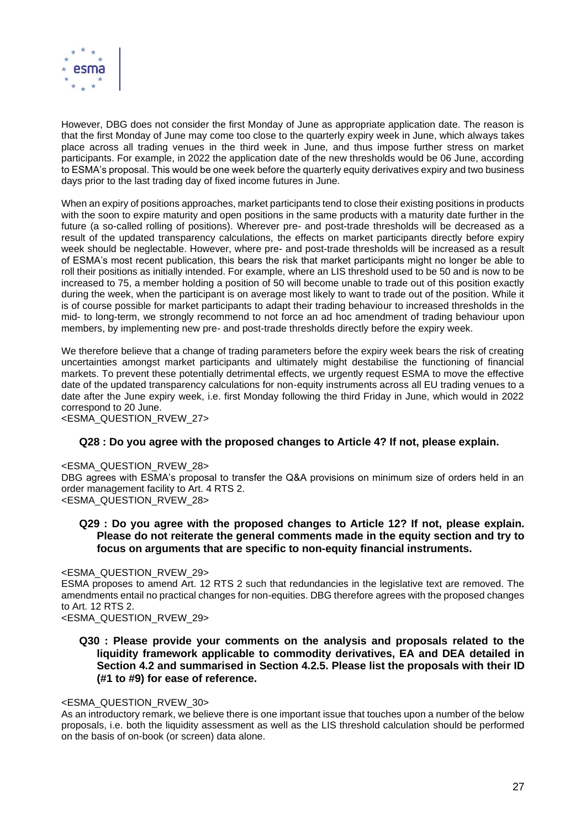

However, DBG does not consider the first Monday of June as appropriate application date. The reason is that the first Monday of June may come too close to the quarterly expiry week in June, which always takes place across all trading venues in the third week in June, and thus impose further stress on market participants. For example, in 2022 the application date of the new thresholds would be 06 June, according to ESMA's proposal. This would be one week before the quarterly equity derivatives expiry and two business days prior to the last trading day of fixed income futures in June.

When an expiry of positions approaches, market participants tend to close their existing positions in products with the soon to expire maturity and open positions in the same products with a maturity date further in the future (a so-called rolling of positions). Wherever pre- and post-trade thresholds will be decreased as a result of the updated transparency calculations, the effects on market participants directly before expiry week should be neglectable. However, where pre- and post-trade thresholds will be increased as a result of ESMA's most recent publication, this bears the risk that market participants might no longer be able to roll their positions as initially intended. For example, where an LIS threshold used to be 50 and is now to be increased to 75, a member holding a position of 50 will become unable to trade out of this position exactly during the week, when the participant is on average most likely to want to trade out of the position. While it is of course possible for market participants to adapt their trading behaviour to increased thresholds in the mid- to long-term, we strongly recommend to not force an ad hoc amendment of trading behaviour upon members, by implementing new pre- and post-trade thresholds directly before the expiry week.

We therefore believe that a change of trading parameters before the expiry week bears the risk of creating uncertainties amongst market participants and ultimately might destabilise the functioning of financial markets. To prevent these potentially detrimental effects, we urgently request ESMA to move the effective date of the updated transparency calculations for non-equity instruments across all EU trading venues to a date after the June expiry week, i.e. first Monday following the third Friday in June, which would in 2022 correspond to 20 June.

<ESMA\_QUESTION\_RVEW\_27>

# **Q28 : Do you agree with the proposed changes to Article 4? If not, please explain.**

## <ESMA\_QUESTION\_RVEW\_28>

DBG agrees with ESMA's proposal to transfer the Q&A provisions on minimum size of orders held in an order management facility to Art. 4 RTS 2. <ESMA\_QUESTION\_RVEW\_28>

# **Q29 : Do you agree with the proposed changes to Article 12? If not, please explain. Please do not reiterate the general comments made in the equity section and try to focus on arguments that are specific to non-equity financial instruments.**

## <ESMA\_QUESTION\_RVEW\_29>

ESMA proposes to amend Art. 12 RTS 2 such that redundancies in the legislative text are removed. The amendments entail no practical changes for non-equities. DBG therefore agrees with the proposed changes to Art. 12 RTS 2.

## <ESMA\_QUESTION\_RVEW\_29>

# **Q30 : Please provide your comments on the analysis and proposals related to the liquidity framework applicable to commodity derivatives, EA and DEA detailed in Section 4.2 and summarised in Section 4.2.5. Please list the proposals with their ID (#1 to #9) for ease of reference.**

#### <ESMA\_QUESTION\_RVEW\_30>

As an introductory remark, we believe there is one important issue that touches upon a number of the below proposals, i.e. both the liquidity assessment as well as the LIS threshold calculation should be performed on the basis of on-book (or screen) data alone.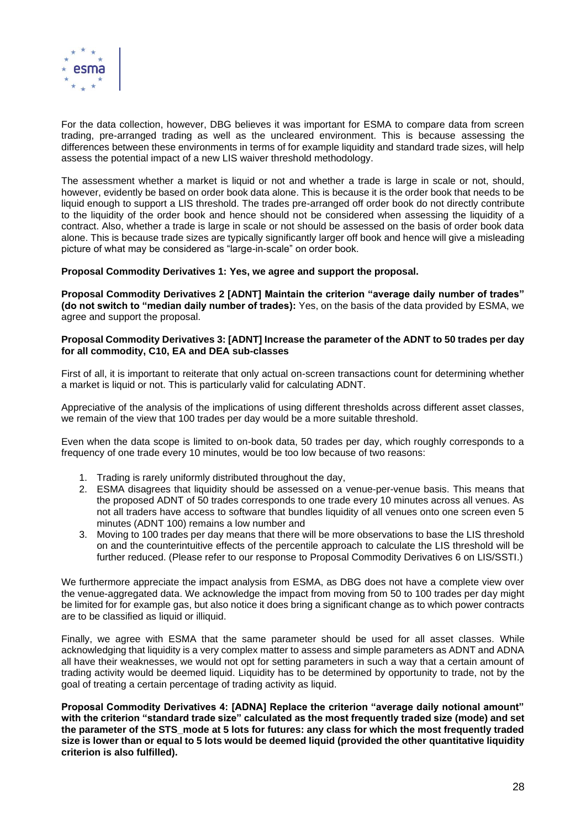

For the data collection, however, DBG believes it was important for ESMA to compare data from screen trading, pre-arranged trading as well as the uncleared environment. This is because assessing the differences between these environments in terms of for example liquidity and standard trade sizes, will help assess the potential impact of a new LIS waiver threshold methodology.

The assessment whether a market is liquid or not and whether a trade is large in scale or not, should, however, evidently be based on order book data alone. This is because it is the order book that needs to be liquid enough to support a LIS threshold. The trades pre-arranged off order book do not directly contribute to the liquidity of the order book and hence should not be considered when assessing the liquidity of a contract. Also, whether a trade is large in scale or not should be assessed on the basis of order book data alone. This is because trade sizes are typically significantly larger off book and hence will give a misleading picture of what may be considered as "large-in-scale" on order book.

## **Proposal Commodity Derivatives 1: Yes, we agree and support the proposal.**

**Proposal Commodity Derivatives 2 [ADNT] Maintain the criterion "average daily number of trades" (do not switch to "median daily number of trades):** Yes, on the basis of the data provided by ESMA, we aaree and support the proposal.

## **Proposal Commodity Derivatives 3: [ADNT] Increase the parameter of the ADNT to 50 trades per day for all commodity, C10, EA and DEA sub-classes**

First of all, it is important to reiterate that only actual on-screen transactions count for determining whether a market is liquid or not. This is particularly valid for calculating ADNT.

Appreciative of the analysis of the implications of using different thresholds across different asset classes, we remain of the view that 100 trades per day would be a more suitable threshold.

Even when the data scope is limited to on-book data, 50 trades per day, which roughly corresponds to a frequency of one trade every 10 minutes, would be too low because of two reasons:

- 1. Trading is rarely uniformly distributed throughout the day,
- 2. ESMA disagrees that liquidity should be assessed on a venue-per-venue basis. This means that the proposed ADNT of 50 trades corresponds to one trade every 10 minutes across all venues. As not all traders have access to software that bundles liquidity of all venues onto one screen even 5 minutes (ADNT 100) remains a low number and
- 3. Moving to 100 trades per day means that there will be more observations to base the LIS threshold on and the counterintuitive effects of the percentile approach to calculate the LIS threshold will be further reduced. (Please refer to our response to Proposal Commodity Derivatives 6 on LIS/SSTI.)

We furthermore appreciate the impact analysis from ESMA, as DBG does not have a complete view over the venue-aggregated data. We acknowledge the impact from moving from 50 to 100 trades per day might be limited for for example gas, but also notice it does bring a significant change as to which power contracts are to be classified as liquid or illiquid.

Finally, we agree with ESMA that the same parameter should be used for all asset classes. While acknowledging that liquidity is a very complex matter to assess and simple parameters as ADNT and ADNA all have their weaknesses, we would not opt for setting parameters in such a way that a certain amount of trading activity would be deemed liquid. Liquidity has to be determined by opportunity to trade, not by the goal of treating a certain percentage of trading activity as liquid.

**Proposal Commodity Derivatives 4: [ADNA] Replace the criterion "average daily notional amount" with the criterion "standard trade size" calculated as the most frequently traded size (mode) and set the parameter of the STS\_mode at 5 lots for futures: any class for which the most frequently traded size is lower than or equal to 5 lots would be deemed liquid (provided the other quantitative liquidity criterion is also fulfilled).**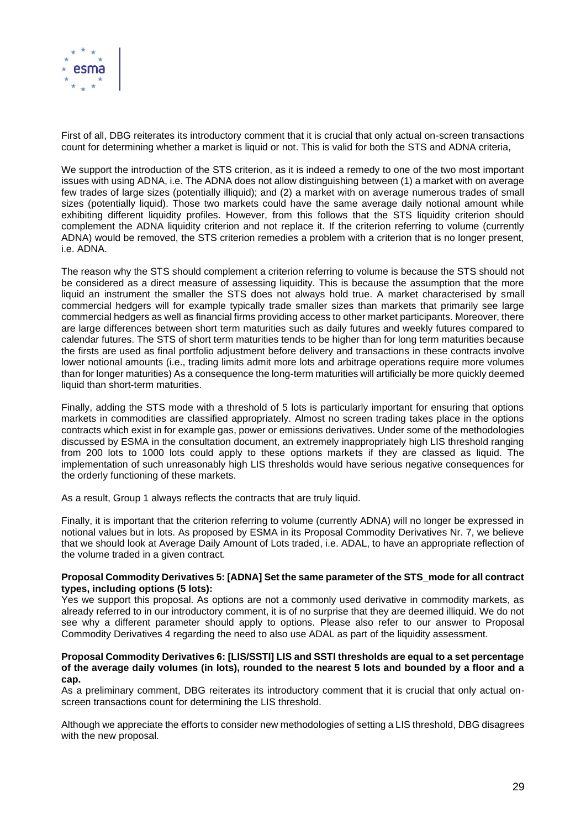

First of all, DBG reiterates its introductory comment that it is crucial that only actual on-screen transactions count for determining whether a market is liquid or not. This is valid for both the STS and ADNA criteria,

We support the introduction of the STS criterion, as it is indeed a remedy to one of the two most important issues with using ADNA, i.e. The ADNA does not allow distinguishing between (1) a market with on average few trades of large sizes (potentially illiquid); and (2) a market with on average numerous trades of small sizes (potentially liquid). Those two markets could have the same average daily notional amount while exhibiting different liquidity profiles. However, from this follows that the STS liquidity criterion should complement the ADNA liquidity criterion and not replace it. If the criterion referring to volume (currently ADNA) would be removed, the STS criterion remedies a problem with a criterion that is no longer present, i.e. ADNA.

The reason why the STS should complement a criterion referring to volume is because the STS should not be considered as a direct measure of assessing liquidity. This is because the assumption that the more liquid an instrument the smaller the STS does not always hold true. A market characterised by small commercial hedgers will for example typically trade smaller sizes than markets that primarily see large commercial hedgers as well as financial firms providing access to other market participants. Moreover, there are large differences between short term maturities such as daily futures and weekly futures compared to calendar futures. The STS of short term maturities tends to be higher than for long term maturities because the firsts are used as final portfolio adjustment before delivery and transactions in these contracts involve lower notional amounts (i.e., trading limits admit more lots and arbitrage operations require more volumes than for longer maturities) As a consequence the long-term maturities will artificially be more quickly deemed liquid than short-term maturities.

Finally, adding the STS mode with a threshold of 5 lots is particularly important for ensuring that options markets in commodities are classified appropriately. Almost no screen trading takes place in the options contracts which exist in for example gas, power or emissions derivatives. Under some of the methodologies discussed by ESMA in the consultation document, an extremely inappropriately high LIS threshold ranging from 200 lots to 1000 lots could apply to these options markets if they are classed as liquid. The implementation of such unreasonably high LIS thresholds would have serious negative consequences for the orderly functioning of these markets.

As a result, Group 1 always reflects the contracts that are truly liquid.

Finally, it is important that the criterion referring to volume (currently ADNA) will no longer be expressed in notional values but in lots. As proposed by ESMA in its Proposal Commodity Derivatives Nr. 7, we believe that we should look at Average Daily Amount of Lots traded, i.e. ADAL, to have an appropriate reflection of the volume traded in a given contract.

## **Proposal Commodity Derivatives 5: [ADNA] Set the same parameter of the STS\_mode for all contract types, including options (5 lots):**

Yes we support this proposal. As options are not a commonly used derivative in commodity markets, as already referred to in our introductory comment, it is of no surprise that they are deemed illiquid. We do not see why a different parameter should apply to options. Please also refer to our answer to Proposal Commodity Derivatives 4 regarding the need to also use ADAL as part of the liquidity assessment.

## **Proposal Commodity Derivatives 6: [LIS/SSTI] LIS and SSTI thresholds are equal to a set percentage of the average daily volumes (in lots), rounded to the nearest 5 lots and bounded by a floor and a cap.**

As a preliminary comment, DBG reiterates its introductory comment that it is crucial that only actual onscreen transactions count for determining the LIS threshold.

Although we appreciate the efforts to consider new methodologies of setting a LIS threshold, DBG disagrees with the new proposal.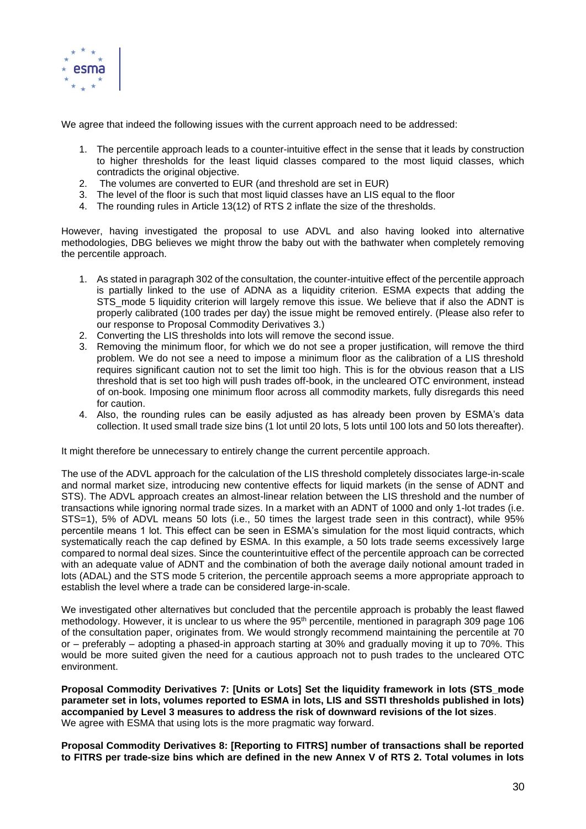

We agree that indeed the following issues with the current approach need to be addressed:

- 1. The percentile approach leads to a counter-intuitive effect in the sense that it leads by construction to higher thresholds for the least liquid classes compared to the most liquid classes, which contradicts the original objective.
- 2. The volumes are converted to EUR (and threshold are set in EUR)
- 3. The level of the floor is such that most liquid classes have an LIS equal to the floor
- 4. The rounding rules in Article 13(12) of RTS 2 inflate the size of the thresholds.

However, having investigated the proposal to use ADVL and also having looked into alternative methodologies, DBG believes we might throw the baby out with the bathwater when completely removing the percentile approach.

- 1. As stated in paragraph 302 of the consultation, the counter-intuitive effect of the percentile approach is partially linked to the use of ADNA as a liquidity criterion. ESMA expects that adding the STS mode 5 liquidity criterion will largely remove this issue. We believe that if also the ADNT is properly calibrated (100 trades per day) the issue might be removed entirely. (Please also refer to our response to Proposal Commodity Derivatives 3.)
- 2. Converting the LIS thresholds into lots will remove the second issue.
- 3. Removing the minimum floor, for which we do not see a proper justification, will remove the third problem. We do not see a need to impose a minimum floor as the calibration of a LIS threshold requires significant caution not to set the limit too high. This is for the obvious reason that a LIS threshold that is set too high will push trades off-book, in the uncleared OTC environment, instead of on-book. Imposing one minimum floor across all commodity markets, fully disregards this need for caution.
- 4. Also, the rounding rules can be easily adjusted as has already been proven by ESMA's data collection. It used small trade size bins (1 lot until 20 lots, 5 lots until 100 lots and 50 lots thereafter).

It might therefore be unnecessary to entirely change the current percentile approach.

The use of the ADVL approach for the calculation of the LIS threshold completely dissociates large-in-scale and normal market size, introducing new contentive effects for liquid markets (in the sense of ADNT and STS). The ADVL approach creates an almost-linear relation between the LIS threshold and the number of transactions while ignoring normal trade sizes. In a market with an ADNT of 1000 and only 1-lot trades (i.e. STS=1), 5% of ADVL means 50 lots (i.e., 50 times the largest trade seen in this contract), while 95% percentile means 1 lot. This effect can be seen in ESMA's simulation for the most liquid contracts, which systematically reach the cap defined by ESMA. In this example, a 50 lots trade seems excessively large compared to normal deal sizes. Since the counterintuitive effect of the percentile approach can be corrected with an adequate value of ADNT and the combination of both the average daily notional amount traded in lots (ADAL) and the STS mode 5 criterion, the percentile approach seems a more appropriate approach to establish the level where a trade can be considered large-in-scale.

We investigated other alternatives but concluded that the percentile approach is probably the least flawed methodology. However, it is unclear to us where the 95<sup>th</sup> percentile, mentioned in paragraph 309 page 106 of the consultation paper, originates from. We would strongly recommend maintaining the percentile at 70 or – preferably – adopting a phased-in approach starting at 30% and gradually moving it up to 70%. This would be more suited given the need for a cautious approach not to push trades to the uncleared OTC environment.

**Proposal Commodity Derivatives 7: [Units or Lots] Set the liquidity framework in lots (STS\_mode parameter set in lots, volumes reported to ESMA in lots, LIS and SSTI thresholds published in lots) accompanied by Level 3 measures to address the risk of downward revisions of the lot sizes**. We agree with ESMA that using lots is the more pragmatic way forward.

**Proposal Commodity Derivatives 8: [Reporting to FITRS] number of transactions shall be reported to FITRS per trade-size bins which are defined in the new Annex V of RTS 2. Total volumes in lots**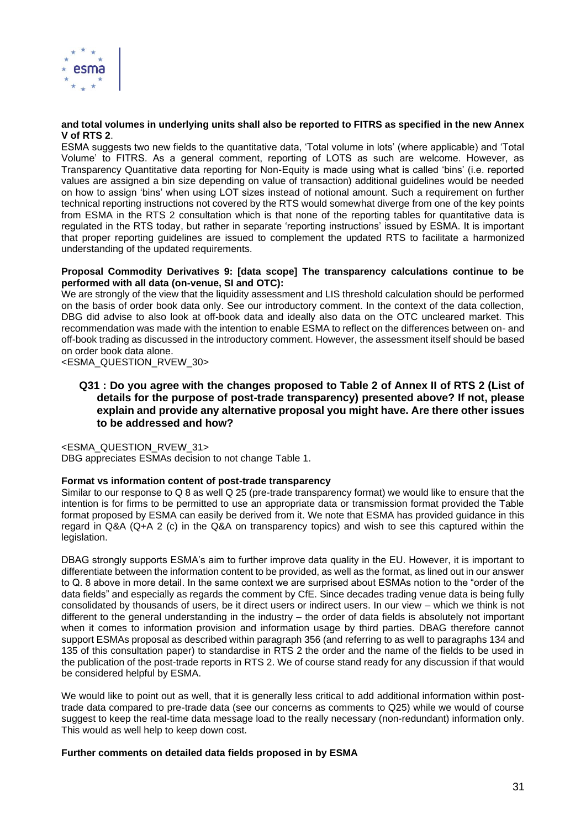

## **and total volumes in underlying units shall also be reported to FITRS as specified in the new Annex V of RTS 2**.

ESMA suggests two new fields to the quantitative data, 'Total volume in lots' (where applicable) and 'Total Volume' to FITRS. As a general comment, reporting of LOTS as such are welcome. However, as Transparency Quantitative data reporting for Non-Equity is made using what is called 'bins' (i.e. reported values are assigned a bin size depending on value of transaction) additional guidelines would be needed on how to assign 'bins' when using LOT sizes instead of notional amount. Such a requirement on further technical reporting instructions not covered by the RTS would somewhat diverge from one of the key points from ESMA in the RTS 2 consultation which is that none of the reporting tables for quantitative data is regulated in the RTS today, but rather in separate 'reporting instructions' issued by ESMA. It is important that proper reporting guidelines are issued to complement the updated RTS to facilitate a harmonized understanding of the updated requirements.

## **Proposal Commodity Derivatives 9: [data scope] The transparency calculations continue to be performed with all data (on-venue, SI and OTC):**

We are strongly of the view that the liquidity assessment and LIS threshold calculation should be performed on the basis of order book data only. See our introductory comment. In the context of the data collection, DBG did advise to also look at off-book data and ideally also data on the OTC uncleared market. This recommendation was made with the intention to enable ESMA to reflect on the differences between on- and off-book trading as discussed in the introductory comment. However, the assessment itself should be based on order book data alone.

<ESMA\_QUESTION\_RVEW\_30>

# **Q31 : Do you agree with the changes proposed to Table 2 of Annex II of RTS 2 (List of details for the purpose of post-trade transparency) presented above? If not, please explain and provide any alternative proposal you might have. Are there other issues to be addressed and how?**

# <ESMA\_QUESTION\_RVEW\_31>

DBG appreciates ESMAs decision to not change Table 1.

# **Format vs information content of post-trade transparency**

Similar to our response to Q 8 as well Q 25 (pre-trade transparency format) we would like to ensure that the intention is for firms to be permitted to use an appropriate data or transmission format provided the Table format proposed by ESMA can easily be derived from it. We note that ESMA has provided guidance in this regard in Q&A (Q+A 2 (c) in the Q&A on transparency topics) and wish to see this captured within the legislation.

DBAG strongly supports ESMA's aim to further improve data quality in the EU. However, it is important to differentiate between the information content to be provided, as well as the format, as lined out in our answer to Q. 8 above in more detail. In the same context we are surprised about ESMAs notion to the "order of the data fields" and especially as regards the comment by CfE. Since decades trading venue data is being fully consolidated by thousands of users, be it direct users or indirect users. In our view – which we think is not different to the general understanding in the industry – the order of data fields is absolutely not important when it comes to information provision and information usage by third parties. DBAG therefore cannot support ESMAs proposal as described within paragraph 356 (and referring to as well to paragraphs 134 and 135 of this consultation paper) to standardise in RTS 2 the order and the name of the fields to be used in the publication of the post-trade reports in RTS 2. We of course stand ready for any discussion if that would be considered helpful by ESMA.

We would like to point out as well, that it is generally less critical to add additional information within posttrade data compared to pre-trade data (see our concerns as comments to Q25) while we would of course suggest to keep the real-time data message load to the really necessary (non-redundant) information only. This would as well help to keep down cost.

## **Further comments on detailed data fields proposed in by ESMA**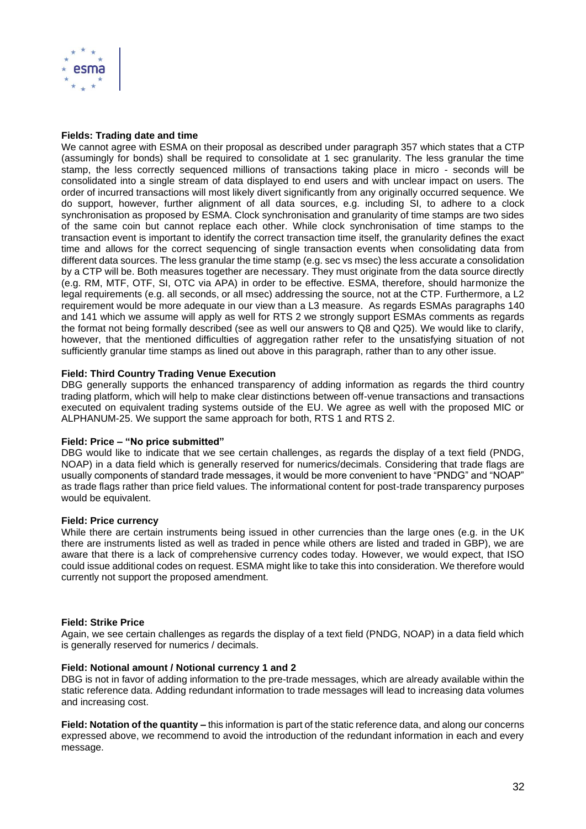

## **Fields: Trading date and time**

We cannot agree with ESMA on their proposal as described under paragraph 357 which states that a CTP (assumingly for bonds) shall be required to consolidate at 1 sec granularity. The less granular the time stamp, the less correctly sequenced millions of transactions taking place in micro - seconds will be consolidated into a single stream of data displayed to end users and with unclear impact on users. The order of incurred transactions will most likely divert significantly from any originally occurred sequence. We do support, however, further alignment of all data sources, e.g. including SI, to adhere to a clock synchronisation as proposed by ESMA. Clock synchronisation and granularity of time stamps are two sides of the same coin but cannot replace each other. While clock synchronisation of time stamps to the transaction event is important to identify the correct transaction time itself, the granularity defines the exact time and allows for the correct sequencing of single transaction events when consolidating data from different data sources. The less granular the time stamp (e.g. sec vs msec) the less accurate a consolidation by a CTP will be. Both measures together are necessary. They must originate from the data source directly (e.g. RM, MTF, OTF, SI, OTC via APA) in order to be effective. ESMA, therefore, should harmonize the legal requirements (e.g. all seconds, or all msec) addressing the source, not at the CTP. Furthermore, a L2 requirement would be more adequate in our view than a L3 measure. As regards ESMAs paragraphs 140 and 141 which we assume will apply as well for RTS 2 we strongly support ESMAs comments as regards the format not being formally described (see as well our answers to Q8 and Q25). We would like to clarify, however, that the mentioned difficulties of aggregation rather refer to the unsatisfying situation of not sufficiently granular time stamps as lined out above in this paragraph, rather than to any other issue.

## **Field: Third Country Trading Venue Execution**

DBG generally supports the enhanced transparency of adding information as regards the third country trading platform, which will help to make clear distinctions between off-venue transactions and transactions executed on equivalent trading systems outside of the EU. We agree as well with the proposed MIC or ALPHANUM-25. We support the same approach for both, RTS 1 and RTS 2.

## **Field: Price – "No price submitted"**

DBG would like to indicate that we see certain challenges, as regards the display of a text field (PNDG, NOAP) in a data field which is generally reserved for numerics/decimals. Considering that trade flags are usually components of standard trade messages, it would be more convenient to have "PNDG" and "NOAP" as trade flags rather than price field values. The informational content for post-trade transparency purposes would be equivalent.

## **Field: Price currency**

While there are certain instruments being issued in other currencies than the large ones (e.g. in the UK there are instruments listed as well as traded in pence while others are listed and traded in GBP), we are aware that there is a lack of comprehensive currency codes today. However, we would expect, that ISO could issue additional codes on request. ESMA might like to take this into consideration. We therefore would currently not support the proposed amendment.

## **Field: Strike Price**

Again, we see certain challenges as regards the display of a text field (PNDG, NOAP) in a data field which is generally reserved for numerics / decimals.

#### **Field: Notional amount / Notional currency 1 and 2**

DBG is not in favor of adding information to the pre-trade messages, which are already available within the static reference data. Adding redundant information to trade messages will lead to increasing data volumes and increasing cost.

**Field: Notation of the quantity –** this information is part of the static reference data, and along our concerns expressed above, we recommend to avoid the introduction of the redundant information in each and every message.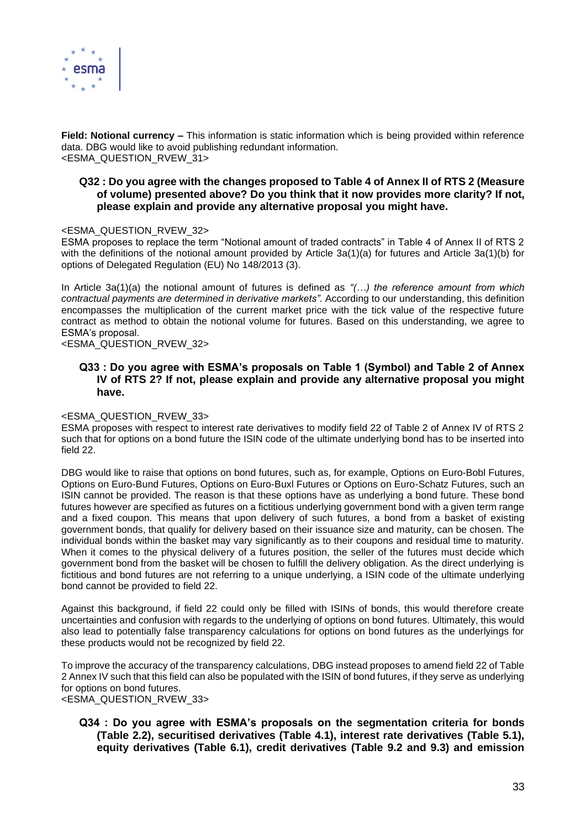

**Field: Notional currency –** This information is static information which is being provided within reference data. DBG would like to avoid publishing redundant information. <ESMA\_QUESTION\_RVEW\_31>

# **Q32 : Do you agree with the changes proposed to Table 4 of Annex II of RTS 2 (Measure of volume) presented above? Do you think that it now provides more clarity? If not, please explain and provide any alternative proposal you might have.**

## <ESMA\_QUESTION\_RVEW\_32>

ESMA proposes to replace the term "Notional amount of traded contracts" in Table 4 of Annex II of RTS 2 with the definitions of the notional amount provided by Article 3a(1)(a) for futures and Article 3a(1)(b) for options of Delegated Regulation (EU) No 148/2013 (3).

In Article 3a(1)(a) the notional amount of futures is defined as *"(…) the reference amount from which contractual payments are determined in derivative markets".* According to our understanding, this definition encompasses the multiplication of the current market price with the tick value of the respective future contract as method to obtain the notional volume for futures. Based on this understanding, we agree to ESMA's proposal.

<ESMA\_QUESTION\_RVEW\_32>

# **Q33 : Do you agree with ESMA's proposals on Table 1 (Symbol) and Table 2 of Annex IV of RTS 2? If not, please explain and provide any alternative proposal you might have.**

## <ESMA\_QUESTION\_RVEW\_33>

ESMA proposes with respect to interest rate derivatives to modify field 22 of Table 2 of Annex IV of RTS 2 such that for options on a bond future the ISIN code of the ultimate underlying bond has to be inserted into field 22.

DBG would like to raise that options on bond futures, such as, for example, Options on Euro-Bobl Futures, Options on Euro-Bund Futures, Options on Euro-Buxl Futures or Options on Euro-Schatz Futures, such an ISIN cannot be provided. The reason is that these options have as underlying a bond future. These bond futures however are specified as futures on a fictitious underlying government bond with a given term range and a fixed coupon. This means that upon delivery of such futures, a bond from a basket of existing government bonds, that qualify for delivery based on their issuance size and maturity, can be chosen. The individual bonds within the basket may vary significantly as to their coupons and residual time to maturity. When it comes to the physical delivery of a futures position, the seller of the futures must decide which government bond from the basket will be chosen to fulfill the delivery obligation. As the direct underlying is fictitious and bond futures are not referring to a unique underlying, a ISIN code of the ultimate underlying bond cannot be provided to field 22.

Against this background, if field 22 could only be filled with ISINs of bonds, this would therefore create uncertainties and confusion with regards to the underlying of options on bond futures. Ultimately, this would also lead to potentially false transparency calculations for options on bond futures as the underlyings for these products would not be recognized by field 22.

To improve the accuracy of the transparency calculations, DBG instead proposes to amend field 22 of Table 2 Annex IV such that this field can also be populated with the ISIN of bond futures, if they serve as underlying for options on bond futures. <ESMA\_QUESTION\_RVEW\_33>

# **Q34 : Do you agree with ESMA's proposals on the segmentation criteria for bonds (Table 2.2), securitised derivatives (Table 4.1), interest rate derivatives (Table 5.1), equity derivatives (Table 6.1), credit derivatives (Table 9.2 and 9.3) and emission**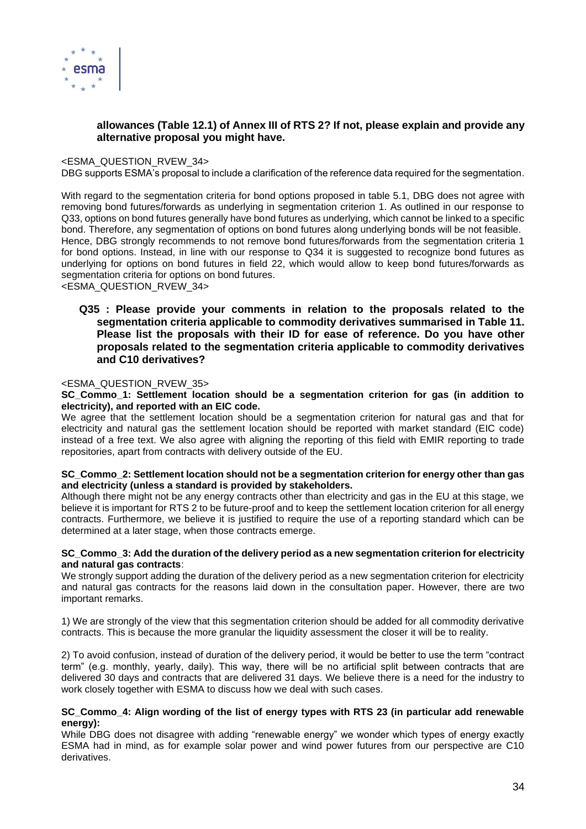

# **allowances (Table 12.1) of Annex III of RTS 2? If not, please explain and provide any alternative proposal you might have.**

## <ESMA\_QUESTION\_RVEW\_34>

DBG supports ESMA's proposal to include a clarification of the reference data required for the segmentation.

With regard to the segmentation criteria for bond options proposed in table 5.1, DBG does not agree with removing bond futures/forwards as underlying in segmentation criterion 1. As outlined in our response to Q33, options on bond futures generally have bond futures as underlying, which cannot be linked to a specific bond. Therefore, any segmentation of options on bond futures along underlying bonds will be not feasible. Hence, DBG strongly recommends to not remove bond futures/forwards from the segmentation criteria 1 for bond options. Instead, in line with our response to Q34 it is suggested to recognize bond futures as underlying for options on bond futures in field 22, which would allow to keep bond futures/forwards as segmentation criteria for options on bond futures.

<ESMA\_QUESTION\_RVEW\_34>

# **Q35 : Please provide your comments in relation to the proposals related to the segmentation criteria applicable to commodity derivatives summarised in Table 11. Please list the proposals with their ID for ease of reference. Do you have other proposals related to the segmentation criteria applicable to commodity derivatives and C10 derivatives?**

## <ESMA\_QUESTION\_RVEW\_35>

**SC\_Commo\_1: Settlement location should be a segmentation criterion for gas (in addition to electricity), and reported with an EIC code.**

We agree that the settlement location should be a segmentation criterion for natural gas and that for electricity and natural gas the settlement location should be reported with market standard (EIC code) instead of a free text. We also agree with aligning the reporting of this field with EMIR reporting to trade repositories, apart from contracts with delivery outside of the EU.

## **SC\_Commo\_2: Settlement location should not be a segmentation criterion for energy other than gas and electricity (unless a standard is provided by stakeholders.**

Although there might not be any energy contracts other than electricity and gas in the EU at this stage, we believe it is important for RTS 2 to be future-proof and to keep the settlement location criterion for all energy contracts. Furthermore, we believe it is justified to require the use of a reporting standard which can be determined at a later stage, when those contracts emerge.

## **SC\_Commo\_3: Add the duration of the delivery period as a new segmentation criterion for electricity and natural gas contracts**:

We strongly support adding the duration of the delivery period as a new segmentation criterion for electricity and natural gas contracts for the reasons laid down in the consultation paper. However, there are two important remarks.

1) We are strongly of the view that this segmentation criterion should be added for all commodity derivative contracts. This is because the more granular the liquidity assessment the closer it will be to reality.

2) To avoid confusion, instead of duration of the delivery period, it would be better to use the term "contract term" (e.g. monthly, yearly, daily). This way, there will be no artificial split between contracts that are delivered 30 days and contracts that are delivered 31 days. We believe there is a need for the industry to work closely together with ESMA to discuss how we deal with such cases.

## **SC\_Commo\_4: Align wording of the list of energy types with RTS 23 (in particular add renewable energy):**

While DBG does not disagree with adding "renewable energy" we wonder which types of energy exactly ESMA had in mind, as for example solar power and wind power futures from our perspective are C10 derivatives.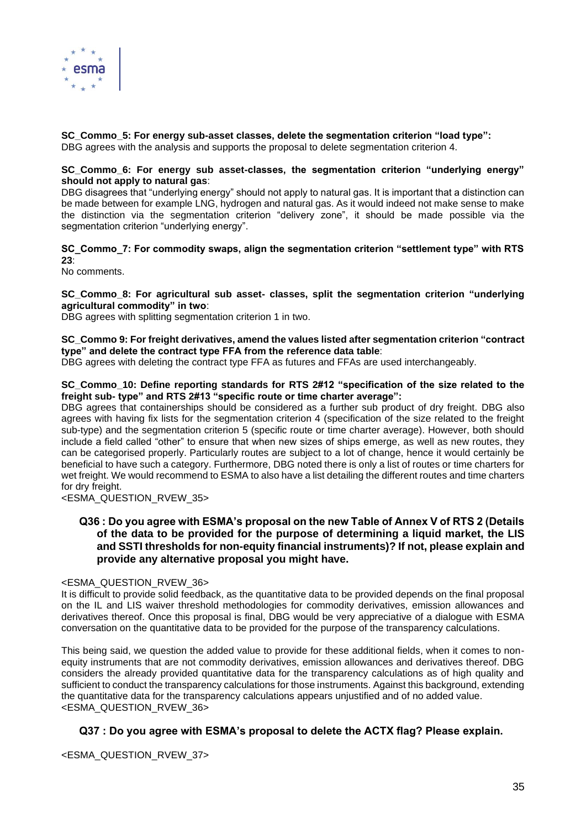

**SC\_Commo\_5: For energy sub-asset classes, delete the segmentation criterion "load type":** DBG agrees with the analysis and supports the proposal to delete segmentation criterion 4.

## **SC\_Commo\_6: For energy sub asset-classes, the segmentation criterion "underlying energy" should not apply to natural gas**:

DBG disagrees that "underlying energy" should not apply to natural gas. It is important that a distinction can be made between for example LNG, hydrogen and natural gas. As it would indeed not make sense to make the distinction via the segmentation criterion "delivery zone", it should be made possible via the segmentation criterion "underlying energy".

# **SC\_Commo\_7: For commodity swaps, align the segmentation criterion "settlement type" with RTS 23**:

No comments.

**SC\_Commo\_8: For agricultural sub asset- classes, split the segmentation criterion "underlying agricultural commodity" in two**:

DBG agrees with splitting segmentation criterion 1 in two.

## **SC\_Commo 9: For freight derivatives, amend the values listed after segmentation criterion "contract type" and delete the contract type FFA from the reference data table**:

DBG agrees with deleting the contract type FFA as futures and FFAs are used interchangeably.

## **SC\_Commo\_10: Define reporting standards for RTS 2#12 "specification of the size related to the freight sub- type" and RTS 2#13 "specific route or time charter average":**

DBG agrees that containerships should be considered as a further sub product of dry freight. DBG also agrees with having fix lists for the segmentation criterion 4 (specification of the size related to the freight sub-type) and the segmentation criterion 5 (specific route or time charter average). However, both should include a field called "other" to ensure that when new sizes of ships emerge, as well as new routes, they can be categorised properly. Particularly routes are subject to a lot of change, hence it would certainly be beneficial to have such a category. Furthermore, DBG noted there is only a list of routes or time charters for wet freight. We would recommend to ESMA to also have a list detailing the different routes and time charters for dry freight.

<ESMA\_QUESTION\_RVEW\_35>

# **Q36 : Do you agree with ESMA's proposal on the new Table of Annex V of RTS 2 (Details of the data to be provided for the purpose of determining a liquid market, the LIS and SSTI thresholds for non-equity financial instruments)? If not, please explain and provide any alternative proposal you might have.**

# <ESMA\_QUESTION\_RVEW\_36>

It is difficult to provide solid feedback, as the quantitative data to be provided depends on the final proposal on the IL and LIS waiver threshold methodologies for commodity derivatives, emission allowances and derivatives thereof. Once this proposal is final, DBG would be very appreciative of a dialogue with ESMA conversation on the quantitative data to be provided for the purpose of the transparency calculations.

This being said, we question the added value to provide for these additional fields, when it comes to nonequity instruments that are not commodity derivatives, emission allowances and derivatives thereof. DBG considers the already provided quantitative data for the transparency calculations as of high quality and sufficient to conduct the transparency calculations for those instruments. Against this background, extending the quantitative data for the transparency calculations appears unjustified and of no added value. <ESMA\_QUESTION\_RVEW\_36>

# **Q37 : Do you agree with ESMA's proposal to delete the ACTX flag? Please explain.**

<ESMA\_QUESTION\_RVEW\_37>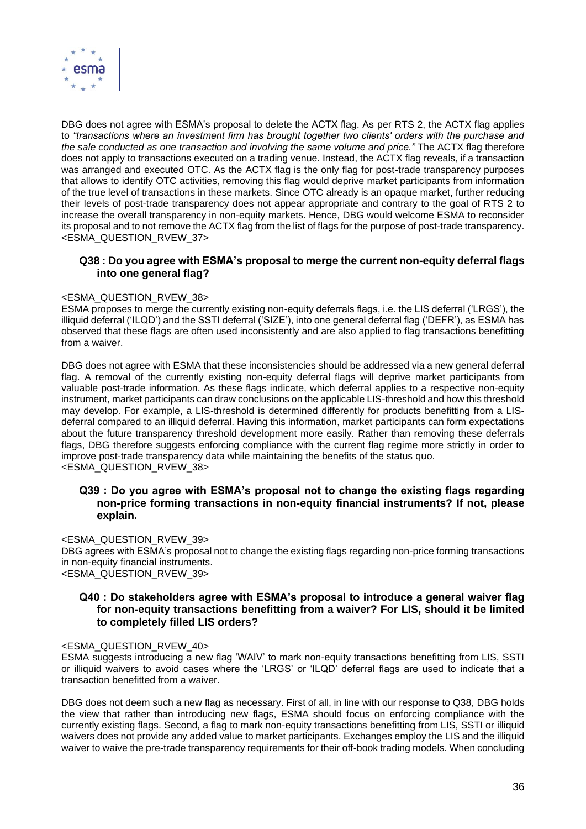

DBG does not agree with ESMA's proposal to delete the ACTX flag. As per RTS 2, the ACTX flag applies to *"transactions where an investment firm has brought together two clients' orders with the purchase and the sale conducted as one transaction and involving the same volume and price."* The ACTX flag therefore does not apply to transactions executed on a trading venue. Instead, the ACTX flag reveals, if a transaction was arranged and executed OTC. As the ACTX flag is the only flag for post-trade transparency purposes that allows to identify OTC activities, removing this flag would deprive market participants from information of the true level of transactions in these markets. Since OTC already is an opaque market, further reducing their levels of post-trade transparency does not appear appropriate and contrary to the goal of RTS 2 to increase the overall transparency in non-equity markets. Hence, DBG would welcome ESMA to reconsider its proposal and to not remove the ACTX flag from the list of flags for the purpose of post-trade transparency. <ESMA\_QUESTION\_RVEW\_37>

# **Q38 : Do you agree with ESMA's proposal to merge the current non-equity deferral flags into one general flag?**

## <ESMA\_QUESTION\_RVEW\_38>

ESMA proposes to merge the currently existing non-equity deferrals flags, i.e. the LIS deferral ('LRGS'), the illiquid deferral ('ILQD') and the SSTI deferral ('SIZE'), into one general deferral flag ('DEFR'), as ESMA has observed that these flags are often used inconsistently and are also applied to flag transactions benefitting from a waiver.

DBG does not agree with ESMA that these inconsistencies should be addressed via a new general deferral flag. A removal of the currently existing non-equity deferral flags will deprive market participants from valuable post-trade information. As these flags indicate, which deferral applies to a respective non-equity instrument, market participants can draw conclusions on the applicable LIS-threshold and how this threshold may develop. For example, a LIS-threshold is determined differently for products benefitting from a LISdeferral compared to an illiquid deferral. Having this information, market participants can form expectations about the future transparency threshold development more easily. Rather than removing these deferrals flags, DBG therefore suggests enforcing compliance with the current flag regime more strictly in order to improve post-trade transparency data while maintaining the benefits of the status quo. <ESMA\_QUESTION\_RVEW\_38>

# **Q39 : Do you agree with ESMA's proposal not to change the existing flags regarding non-price forming transactions in non-equity financial instruments? If not, please explain.**

## <ESMA\_QUESTION\_RVEW\_39>

DBG agrees with ESMA's proposal not to change the existing flags regarding non-price forming transactions in non-equity financial instruments. <ESMA\_QUESTION\_RVEW\_39>

# **Q40 : Do stakeholders agree with ESMA's proposal to introduce a general waiver flag for non-equity transactions benefitting from a waiver? For LIS, should it be limited to completely filled LIS orders?**

# <ESMA\_QUESTION\_RVEW\_40>

ESMA suggests introducing a new flag 'WAIV' to mark non-equity transactions benefitting from LIS, SSTI or illiquid waivers to avoid cases where the 'LRGS' or 'ILQD' deferral flags are used to indicate that a transaction benefitted from a waiver.

DBG does not deem such a new flag as necessary. First of all, in line with our response to Q38, DBG holds the view that rather than introducing new flags, ESMA should focus on enforcing compliance with the currently existing flags. Second, a flag to mark non-equity transactions benefitting from LIS, SSTI or illiquid waivers does not provide any added value to market participants. Exchanges employ the LIS and the illiquid waiver to waive the pre-trade transparency requirements for their off-book trading models. When concluding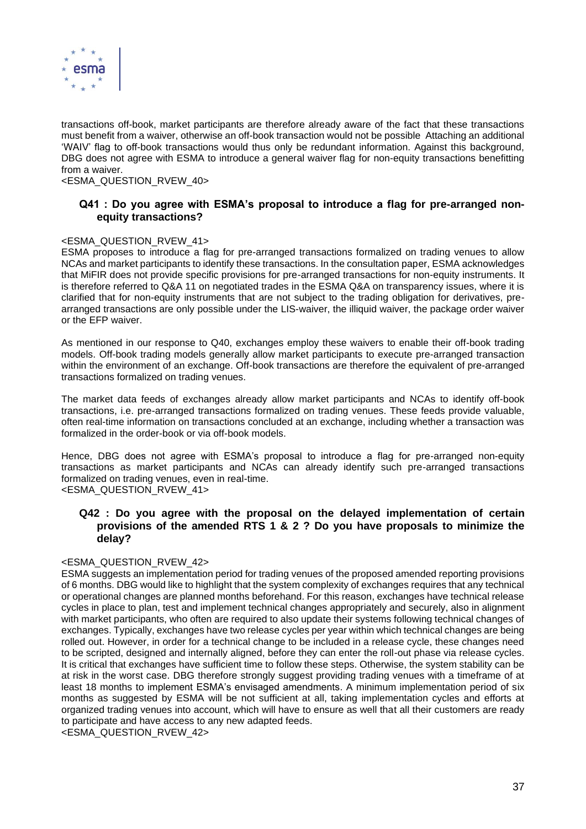

transactions off-book, market participants are therefore already aware of the fact that these transactions must benefit from a waiver, otherwise an off-book transaction would not be possible Attaching an additional 'WAIV' flag to off-book transactions would thus only be redundant information. Against this background, DBG does not agree with ESMA to introduce a general waiver flag for non-equity transactions benefitting from a waiver.

<ESMA\_QUESTION\_RVEW\_40>

# **Q41 : Do you agree with ESMA's proposal to introduce a flag for pre-arranged nonequity transactions?**

## <ESMA\_QUESTION\_RVEW\_41>

ESMA proposes to introduce a flag for pre-arranged transactions formalized on trading venues to allow NCAs and market participants to identify these transactions. In the consultation paper, ESMA acknowledges that MiFIR does not provide specific provisions for pre-arranged transactions for non-equity instruments. It is therefore referred to Q&A 11 on negotiated trades in the ESMA Q&A on transparency issues, where it is clarified that for non-equity instruments that are not subject to the trading obligation for derivatives, prearranged transactions are only possible under the LIS-waiver, the illiquid waiver, the package order waiver or the EFP waiver.

As mentioned in our response to Q40, exchanges employ these waivers to enable their off-book trading models. Off-book trading models generally allow market participants to execute pre-arranged transaction within the environment of an exchange. Off-book transactions are therefore the equivalent of pre-arranged transactions formalized on trading venues.

The market data feeds of exchanges already allow market participants and NCAs to identify off-book transactions, i.e. pre-arranged transactions formalized on trading venues. These feeds provide valuable, often real-time information on transactions concluded at an exchange, including whether a transaction was formalized in the order-book or via off-book models.

Hence, DBG does not agree with ESMA's proposal to introduce a flag for pre-arranged non-equity transactions as market participants and NCAs can already identify such pre-arranged transactions formalized on trading venues, even in real-time. <ESMA\_QUESTION\_RVEW\_41>

# **Q42 : Do you agree with the proposal on the delayed implementation of certain provisions of the amended RTS 1 & 2 ? Do you have proposals to minimize the delay?**

# <ESMA\_QUESTION\_RVEW\_42>

ESMA suggests an implementation period for trading venues of the proposed amended reporting provisions of 6 months. DBG would like to highlight that the system complexity of exchanges requires that any technical or operational changes are planned months beforehand. For this reason, exchanges have technical release cycles in place to plan, test and implement technical changes appropriately and securely, also in alignment with market participants, who often are required to also update their systems following technical changes of exchanges. Typically, exchanges have two release cycles per year within which technical changes are being rolled out. However, in order for a technical change to be included in a release cycle, these changes need to be scripted, designed and internally aligned, before they can enter the roll-out phase via release cycles. It is critical that exchanges have sufficient time to follow these steps. Otherwise, the system stability can be at risk in the worst case. DBG therefore strongly suggest providing trading venues with a timeframe of at least 18 months to implement ESMA's envisaged amendments. A minimum implementation period of six months as suggested by ESMA will be not sufficient at all, taking implementation cycles and efforts at organized trading venues into account, which will have to ensure as well that all their customers are ready to participate and have access to any new adapted feeds.

<ESMA\_QUESTION\_RVEW\_42>